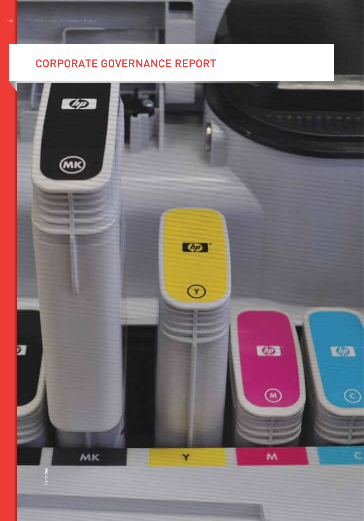# CORPORATE GOVERNANCE REPORT

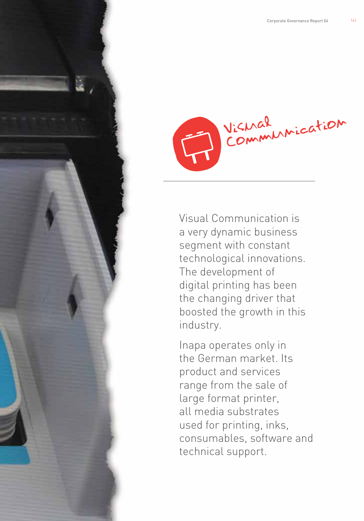Visual

Visual Communication is a very dynamic business segment with constant technological innovations. The development of digital printing has been the changing driver that boosted the growth in this industry.

Inapa operates only in the German market. Its product and services range from the sale of large format printer, all media substrates used for printing, inks, consumables, software and technical support.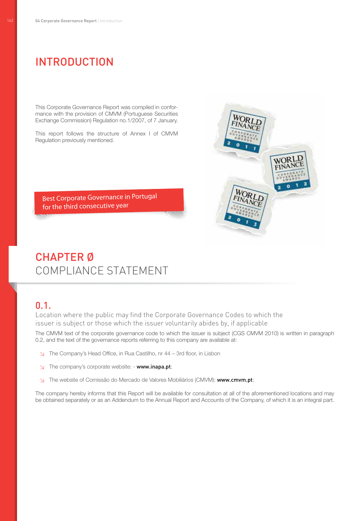# Introduction

This Corporate Governance Report was compiled in conformance with the provision of CMVM (Portuguese Securities Exchange Commission) Regulation no.1/2007, of 7 January.

This report follows the structure of Annex I of CMVM Regulation previously mentioned.

Best Corporate Governance in Portugal for the third consecutive year

# VORLE

# chapter Ø Compliance Statement

# 0.1.

Location where the public may find the Corporate Governance Codes to which the issuer is subject or those which the issuer voluntarily abides by, if applicable

The CMVM text of the corporate governance code to which the issuer is subject (CGS CMVM 2010) is written in paragraph 0.2, and the text of the governance reports referring to this company are available at:

- ↘ The Company's Head Office, in Rua Castilho, nr 44 3rd floor, in Lisbon
- ↘ The company's corporate website: www.inapa.pt;
- ↘ The website of Comissão do Mercado de Valores Mobiliários (CMVM): www.cmvm.pt;

The company hereby informs that this Report will be available for consultation at all of the aforementioned locations and may be obtained separately or as an Addendum to the Annual Report and Accounts of the Company, of which it is an integral part.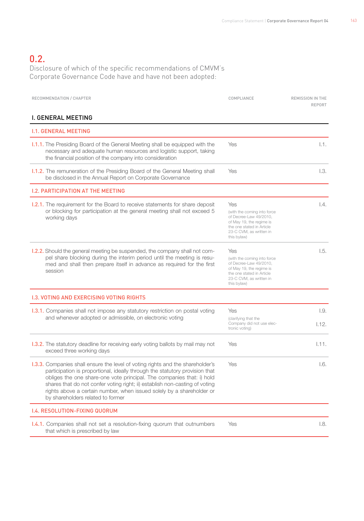# 0.2.

Disclosure of which of the specific recommendations of CMVM's Corporate Governance Code have and have not been adopted:

| RECOMMENDATION / CHAPTER                                                                                                                                                                                                                                                                                                                                                                                                            | COMPLIANCE                                                                                                                                                      | <b>REMISSION IN THE</b><br>REPORT |
|-------------------------------------------------------------------------------------------------------------------------------------------------------------------------------------------------------------------------------------------------------------------------------------------------------------------------------------------------------------------------------------------------------------------------------------|-----------------------------------------------------------------------------------------------------------------------------------------------------------------|-----------------------------------|
| <b>I. GENERAL MEETING</b>                                                                                                                                                                                                                                                                                                                                                                                                           |                                                                                                                                                                 |                                   |
| <b>I.1. GENERAL MEETING</b>                                                                                                                                                                                                                                                                                                                                                                                                         |                                                                                                                                                                 |                                   |
| <b>1.1.1.</b> The Presiding Board of the General Meeting shall be equipped with the<br>necessary and adequate human resources and logistic support, taking<br>the financial position of the company into consideration                                                                                                                                                                                                              | Yes                                                                                                                                                             | 1.1.                              |
| <b>I.1.2.</b> The remuneration of the Presiding Board of the General Meeting shall<br>be disclosed in the Annual Report on Corporate Governance                                                                                                                                                                                                                                                                                     | Yes                                                                                                                                                             | 1.3.                              |
| <b>I.2. PARTICIPATION AT THE MEETING</b>                                                                                                                                                                                                                                                                                                                                                                                            |                                                                                                                                                                 |                                   |
| <b>1.2.1.</b> The requirement for the Board to receive statements for share deposit<br>or blocking for participation at the general meeting shall not exceed 5<br>working days                                                                                                                                                                                                                                                      | Yes<br>(with the coming into force<br>of Decree-Law 49/2010,<br>of May 19, the regime is<br>the one stated in Article<br>23-C CVM, as written in<br>this bylaw) | 1.4.                              |
| <b>1.2.2.</b> Should the general meeting be suspended, the company shall not com-<br>pel share blocking during the interim period until the meeting is resu-<br>med and shall then prepare itself in advance as required for the first<br>session                                                                                                                                                                                   | Yes<br>(with the coming into force<br>of Decree-Law 49/2010,<br>of May 19, the regime is<br>the one stated in Article<br>23-C CVM, as written in<br>this bylaw) | 1.5.                              |
| <b>1.3. VOTING AND EXERCISING VOTING RIGHTS</b>                                                                                                                                                                                                                                                                                                                                                                                     |                                                                                                                                                                 |                                   |
| <b>1.3.1.</b> Companies shall not impose any statutory restriction on postal voting<br>and whenever adopted or admissible, on electronic voting                                                                                                                                                                                                                                                                                     | <b>Yes</b><br>(clarifying that the<br>Company did not use elec-<br>tronic voting)                                                                               | 1.9.<br>1.12.                     |
| <b>1.3.2.</b> The statutory deadline for receiving early voting ballots by mail may not<br>exceed three working days                                                                                                                                                                                                                                                                                                                | Yes                                                                                                                                                             | 1.11.                             |
| 1.3.3. Companies shall ensure the level of voting rights and the shareholder's<br>participation is proportional, ideally through the statutory provision that<br>obliges the one share-one vote principal. The companies that: i) hold<br>shares that do not confer voting right; ii) establish non-casting of voting<br>rights above a certain number, when issued solely by a shareholder or<br>by shareholders related to former | Yes                                                                                                                                                             | 1.6.                              |
| <b>I.4. RESOLUTION-FIXING QUORUM</b>                                                                                                                                                                                                                                                                                                                                                                                                |                                                                                                                                                                 |                                   |
| <b>1.4.1.</b> Companies shall not set a resolution-fixing quorum that outnumbers<br>that which is prescribed by law                                                                                                                                                                                                                                                                                                                 | Yes                                                                                                                                                             | 1.8.                              |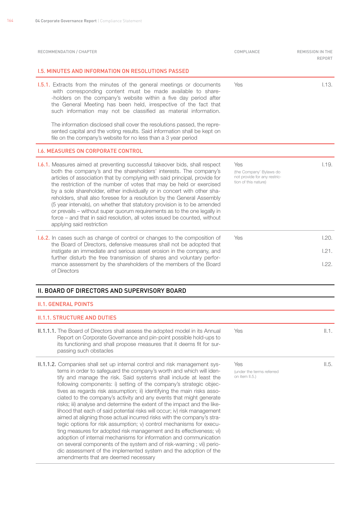| RECOMMENDATION / CHAPTER                                                                                                                                                                                                                                                                                                                                                                                                                                                                                                                                                                                                                                                                                                                                                                                                                                                                                                                                                                                                                                                                | COMPLIANCE                                                                             | <b>REMISSION IN THE</b><br>REPORT |
|-----------------------------------------------------------------------------------------------------------------------------------------------------------------------------------------------------------------------------------------------------------------------------------------------------------------------------------------------------------------------------------------------------------------------------------------------------------------------------------------------------------------------------------------------------------------------------------------------------------------------------------------------------------------------------------------------------------------------------------------------------------------------------------------------------------------------------------------------------------------------------------------------------------------------------------------------------------------------------------------------------------------------------------------------------------------------------------------|----------------------------------------------------------------------------------------|-----------------------------------|
| 1.5. MINUTES AND INFORMATION ON RESOLUTIONS PASSED                                                                                                                                                                                                                                                                                                                                                                                                                                                                                                                                                                                                                                                                                                                                                                                                                                                                                                                                                                                                                                      |                                                                                        |                                   |
| 1.5.1. Extracts from the minutes of the general meetings or documents<br>with corresponding content must be made available to share-<br>-holders on the company's website within a five day period after<br>the General Meeting has been held, irrespective of the fact that<br>such information may not be classified as material information.                                                                                                                                                                                                                                                                                                                                                                                                                                                                                                                                                                                                                                                                                                                                         | <b>Yes</b>                                                                             | 1.13.                             |
| The information disclosed shall cover the resolutions passed, the repre-<br>sented capital and the voting results. Said information shall be kept on<br>file on the company's website for no less than a 3 year period                                                                                                                                                                                                                                                                                                                                                                                                                                                                                                                                                                                                                                                                                                                                                                                                                                                                  |                                                                                        |                                   |
| <b>I.6. MEASURES ON CORPORATE CONTROL</b>                                                                                                                                                                                                                                                                                                                                                                                                                                                                                                                                                                                                                                                                                                                                                                                                                                                                                                                                                                                                                                               |                                                                                        |                                   |
| <b>1.6.1.</b> Measures aimed at preventing successful takeover bids, shall respect<br>both the company's and the shareholders' interests. The company's<br>articles of association that by complying with said principal, provide for<br>the restriction of the number of votes that may be held or exercised<br>by a sole shareholder, either individually or in concert with other sha-<br>reholders, shall also foresee for a resolution by the General Assembly<br>(5 year intervals), on whether that statutory provision is to be amended<br>or prevails - without super quorum requirements as to the one legally in<br>force – and that in said resolution, all votes issued be counted, without<br>applying said restriction                                                                                                                                                                                                                                                                                                                                                   | Yes<br>(the Company' Bylaws do<br>not provide for any restric-<br>tion of this nature) | 1.19.                             |
| 1.6.2. In cases such as change of control or changes to the composition of<br>the Board of Directors, defensive measures shall not be adopted that<br>instigate an immediate and serious asset erosion in the company, and<br>further disturb the free transmission of shares and voluntary perfor-<br>mance assessment by the shareholders of the members of the Board<br>of Directors                                                                                                                                                                                                                                                                                                                                                                                                                                                                                                                                                                                                                                                                                                 | Yes                                                                                    | 1.20.<br>1.21.<br>1.22.           |
| II. BOARD OF DIRECTORS AND SUPERVISORY BOARD                                                                                                                                                                                                                                                                                                                                                                                                                                                                                                                                                                                                                                                                                                                                                                                                                                                                                                                                                                                                                                            |                                                                                        |                                   |
| <b>II.1. GENERAL POINTS</b>                                                                                                                                                                                                                                                                                                                                                                                                                                                                                                                                                                                                                                                                                                                                                                                                                                                                                                                                                                                                                                                             |                                                                                        |                                   |
| <b>II.1.1. STRUCTURE AND DUTIES</b>                                                                                                                                                                                                                                                                                                                                                                                                                                                                                                                                                                                                                                                                                                                                                                                                                                                                                                                                                                                                                                                     |                                                                                        |                                   |
| II.1.1.1. The Board of Directors shall assess the adopted model in its Annual<br>Report on Corporate Governance and pin-point possible hold-ups to<br>its functioning and shall propose measures that it deems fit for sur-<br>passing such obstacles                                                                                                                                                                                                                                                                                                                                                                                                                                                                                                                                                                                                                                                                                                                                                                                                                                   | Yes                                                                                    | II.1.                             |
| II.1.1.2. Companies shall set up internal control and risk management sys-<br>tems in order to safeguard the company's worth and which will iden-<br>tify and manage the risk. Said systems shall include at least the<br>following components: i) setting of the company's strategic objec-<br>tives as regards risk assumption; ii) identifying the main risks asso-<br>ciated to the company's activity and any events that might generate<br>risks; iii) analyse and determine the extent of the impact and the like-<br>lihood that each of said potential risks will occur; iv) risk management<br>aimed at aligning those actual incurred risks with the company's stra-<br>tegic options for risk assumption; v) control mechanisms for execu-<br>ting measures for adopted risk management and its effectiveness; vi)<br>adoption of internal mechanisms for information and communication<br>on several components of the system and of risk-warning; vii) perio-<br>dic assessment of the implemented system and the adoption of the<br>amendments that are deemed necessary | Yes<br>(under the terms referred<br>on item II.5.)                                     | II.5.                             |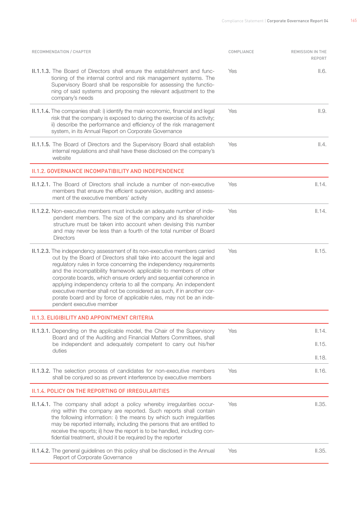| RECOMMENDATION / CHAPTER                                                                                                                                                                                                                                                                                                                                                                                                                                                                                                                                                                                                | COMPLIANCE | REMISSION IN THE<br><b>REPORT</b> |
|-------------------------------------------------------------------------------------------------------------------------------------------------------------------------------------------------------------------------------------------------------------------------------------------------------------------------------------------------------------------------------------------------------------------------------------------------------------------------------------------------------------------------------------------------------------------------------------------------------------------------|------------|-----------------------------------|
| <b>II.1.1.3.</b> The Board of Directors shall ensure the establishment and func-<br>tioning of the internal control and risk management systems. The<br>Supervisory Board shall be responsible for assessing the functio-<br>ning of said systems and proposing the relevant adjustment to the<br>company's needs                                                                                                                                                                                                                                                                                                       | Yes        | II.6.                             |
| II.1.1.4. The companies shall: i) identify the main economic, financial and legal<br>risk that the company is exposed to during the exercise of its activity;<br>ii) describe the performance and efficiency of the risk management<br>system, in its Annual Report on Corporate Governance                                                                                                                                                                                                                                                                                                                             | Yes        | II.9.                             |
| II.1.1.5. The Board of Directors and the Supervisory Board shall establish<br>internal regulations and shall have these disclosed on the company's<br>website                                                                                                                                                                                                                                                                                                                                                                                                                                                           | Yes        | II.4.                             |
| II.1.2. GOVERNANCE INCOMPATIBILITY AND INDEPENDENCE                                                                                                                                                                                                                                                                                                                                                                                                                                                                                                                                                                     |            |                                   |
| <b>II.1.2.1.</b> The Board of Directors shall include a number of non-executive<br>members that ensure the efficient supervision, auditing and assess-<br>ment of the executive members' activity                                                                                                                                                                                                                                                                                                                                                                                                                       | Yes        | II.14.                            |
| II.1.2.2. Non-executive members must include an adequate number of inde-<br>pendent members. The size of the company and its shareholder<br>structure must be taken into account when devising this number<br>and may never be less than a fourth of the total number of Board<br><b>Directors</b>                                                                                                                                                                                                                                                                                                                      | Yes        | II.14.                            |
| <b>II.1.2.3.</b> The independency assessment of its non-executive members carried<br>out by the Board of Directors shall take into account the legal and<br>regulatory rules in force concerning the independency requirements<br>and the incompatibility framework applicable to members of other<br>corporate boards, which ensure orderly and sequential coherence in<br>applying independency criteria to all the company. An independent<br>executive member shall not be considered as such, if in another cor-<br>porate board and by force of applicable rules, may not be an inde-<br>pendent executive member | Yes        | II.15.                            |
| II.1.3. ELIGIBILITY AND APPOINTMENT CRITERIA                                                                                                                                                                                                                                                                                                                                                                                                                                                                                                                                                                            |            |                                   |
| <b>II.1.3.1.</b> Depending on the applicable model, the Chair of the Supervisory                                                                                                                                                                                                                                                                                                                                                                                                                                                                                                                                        | Yes        | II.14.                            |
| Board and of the Auditing and Financial Matters Committees, shall<br>be independent and adequately competent to carry out his/her                                                                                                                                                                                                                                                                                                                                                                                                                                                                                       |            | II.15.                            |
| duties                                                                                                                                                                                                                                                                                                                                                                                                                                                                                                                                                                                                                  |            | II.18.                            |
| II.1.3.2. The selection process of candidates for non-executive members<br>shall be conjured so as prevent interference by executive members                                                                                                                                                                                                                                                                                                                                                                                                                                                                            | Yes        | II.16.                            |
| <b>II.1.4. POLICY ON THE REPORTING OF IRREGULARITIES</b>                                                                                                                                                                                                                                                                                                                                                                                                                                                                                                                                                                |            |                                   |
| II.1.4.1. The company shall adopt a policy whereby irregularities occur-<br>ring within the company are reported. Such reports shall contain<br>the following information: i) the means by which such irregularities<br>may be reported internally, including the persons that are entitled to<br>receive the reports; ii) how the report is to be handled, including con-<br>fidential treatment, should it be required by the reporter                                                                                                                                                                                | Yes        | II.35.                            |
| II.1.4.2. The general guidelines on this policy shall be disclosed in the Annual<br>Report of Corporate Governance                                                                                                                                                                                                                                                                                                                                                                                                                                                                                                      | Yes        | II.35.                            |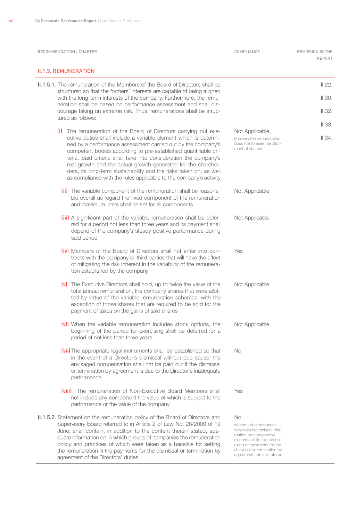| RECOMMENDATION / CHAPTER                                                                                                                                                                                                                                                                                                                                                                                                                                                                                                                                | COMPLIANCE                                                                                                                                                                                                              | REMISSION IN THE<br>REPORT |
|---------------------------------------------------------------------------------------------------------------------------------------------------------------------------------------------------------------------------------------------------------------------------------------------------------------------------------------------------------------------------------------------------------------------------------------------------------------------------------------------------------------------------------------------------------|-------------------------------------------------------------------------------------------------------------------------------------------------------------------------------------------------------------------------|----------------------------|
| <b>II.1.5. REMUNERATION</b>                                                                                                                                                                                                                                                                                                                                                                                                                                                                                                                             |                                                                                                                                                                                                                         |                            |
| <b>II.1.5.1.</b> The remuneration of the Members of the Board of Directors shall be<br>structured so that the formers' interests are capable of being aligned<br>with the long-term interests of the company. Furthermore, the remu-<br>neration shall be based on performance assessment and shall dis-<br>courage taking on extreme risk. Thus, remunerations shall be struc-<br>tured as follows:                                                                                                                                                    |                                                                                                                                                                                                                         | II.22.<br>II.30.<br>II.32. |
| (i) The remuneration of the Board of Directors carrying out exe-<br>cutive duties shall include a variable element which is determi-<br>ned by a performance assessment carried out by the company's<br>competent bodies according to pre-established quantifiable cri-<br>teria. Said criteria shall take into consideration the company's<br>real growth and the actual growth generated for the sharehol-<br>ders, its long-term sustainability and the risks taken on, as well<br>as compliance with the rules applicable to the company's activity | Not Applicable<br>(the variable remuneration<br>does not foresee the allot-<br>ment of shares)                                                                                                                          | II.33.<br>II.34.           |
| (ii) The variable component of the remuneration shall be reasona-<br>ble overall as regard the fixed component of the remuneration<br>and maximum limits shall be set for all components                                                                                                                                                                                                                                                                                                                                                                | Not Applicable                                                                                                                                                                                                          |                            |
| (iii) A significant part of the variable remuneration shall be defer-<br>red for a period not less than three years and its payment shall<br>depend of the company's steady positive performance during<br>said period                                                                                                                                                                                                                                                                                                                                  | Not Applicable                                                                                                                                                                                                          |                            |
| <b>(iv)</b> Members of the Board of Directors shall not enter into con-<br>tracts with the company or third parties that will have the effect<br>of mitigating the risk inherent in the variability of the remunera-<br>tion established by the company                                                                                                                                                                                                                                                                                                 | Yes                                                                                                                                                                                                                     |                            |
| (v) The Executive Directors shall hold, up to twice the value of the<br>total annual remuneration, the company shares that were allot-<br>ted by virtue of the variable remuneration schemes, with the<br>exception of those shares that are required to be sold for the<br>payment of taxes on the gains of said shares                                                                                                                                                                                                                                | Not Applicable                                                                                                                                                                                                          |                            |
| (vi) When the variable remuneration includes stock options, the<br>beginning of the period for exercising shall be deferred for a<br>period of not less than three years                                                                                                                                                                                                                                                                                                                                                                                | Not Applicable                                                                                                                                                                                                          |                            |
| (vii) The appropriate legal instruments shall be established so that<br>in the event of a Director's dismissal without due cause, the<br>envisaged compensation shall not be paid out if the dismissal<br>or termination by agreement is due to the Director's inadequate<br>performance                                                                                                                                                                                                                                                                | No                                                                                                                                                                                                                      |                            |
| <b>Iviiil</b> The remuneration of Non-Executive Board Members shall<br>not include any component the value of which is subject to the<br>performance or the value of the company                                                                                                                                                                                                                                                                                                                                                                        | Yes                                                                                                                                                                                                                     |                            |
| II.1.5.2. Statement on the remuneration policy of the Board of Directors and<br>Supervisory Board referred to in Article 2 of Law No. 28/2009 of 19<br>June, shall contain, in addition to the content therein stated, ade-<br>quate information on: i) which groups of companies the remuneration<br>policy and practices of which were taken as a baseline for setting<br>the remuneration ii) the payments for the dismissal or termination by<br>agreement of the Directors' duties                                                                 | <b>No</b><br>(statement of remunera-<br>tion does not include infor-<br>mation on comparative<br>elements to its fixation nor<br>ruling on payments for the<br>dismissal or termination by<br>agreement administrators) |                            |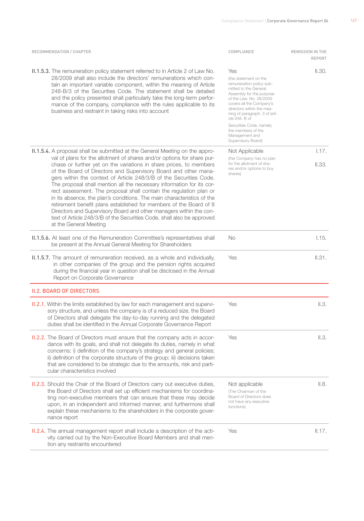| RECOMMENDATION / CHAPTER                                                                                                                                                                                                                                                                                                                                                                                                                                                                                                                                                                                                                                                                                                                                                                                                                              | COMPLIANCE                                                                                                                                                                                                                                                                                                             | REMISSION IN THE<br><b>REPORT</b> |
|-------------------------------------------------------------------------------------------------------------------------------------------------------------------------------------------------------------------------------------------------------------------------------------------------------------------------------------------------------------------------------------------------------------------------------------------------------------------------------------------------------------------------------------------------------------------------------------------------------------------------------------------------------------------------------------------------------------------------------------------------------------------------------------------------------------------------------------------------------|------------------------------------------------------------------------------------------------------------------------------------------------------------------------------------------------------------------------------------------------------------------------------------------------------------------------|-----------------------------------|
| <b>II.1.5.3.</b> The remuneration policy statement referred to in Article 2 of Law No.<br>28/2009 shall also include the directors' remunerations which con-<br>tain an important variable component, within the meaning of Article<br>248-B/3 of the Securities Code. The statement shall be detailed<br>and the policy presented shall particularly take the long-term perfor-<br>mance of the company, compliance with the rules applicable to its<br>business and restraint in taking risks into account                                                                                                                                                                                                                                                                                                                                          | Yes<br>(the statement on the<br>remuneration policy sub-<br>mitted to the General<br>Assembly for the purpose<br>of the Law. No. 28/2009<br>covers all the Company's<br>directors within the mea-<br>ning of paragraph. 3 of arti-<br>cle 248. B of<br>Securities Code, namely<br>the members of the<br>Management and | II.30.                            |
| <b>II.1.5.4.</b> A proposal shall be submitted at the General Meeting on the appro-<br>val of plans for the allotment of shares and/or options for share pur-<br>chase or further yet on the variations in share prices, to members<br>of the Board of Directors and Supervisory Board and other mana-<br>gers within the context of Article 248/3/B of the Securities Code.<br>The proposal shall mention all the necessary information for its cor-<br>rect assessment. The proposal shall contain the regulation plan or<br>in its absence, the plan's conditions. The main characteristics of the<br>retirement benefit plans established for members of the Board of 8<br>Directors and Supervisory Board and other managers within the con-<br>text of Article 248/3/B of the Securities Code, shall also be approved<br>at the General Meeting | Supervisory Board)<br>Not Applicable<br>(the Company has no plan<br>for the allotment of sha-<br>res and/or options to buy<br>shares)                                                                                                                                                                                  | 1.17.<br>II.33.                   |
| II.1.5.6. At least one of the Remuneration Committee's representatives shall<br>be present at the Annual General Meeting for Shareholders                                                                                                                                                                                                                                                                                                                                                                                                                                                                                                                                                                                                                                                                                                             | No                                                                                                                                                                                                                                                                                                                     | 1.15.                             |
| II.1.5.7. The amount of remuneration received, as a whole and individually,<br>in other companies of the group and the pension rights acquired<br>during the financial year in question shall be disclosed in the Annual<br>Report on Corporate Governance                                                                                                                                                                                                                                                                                                                                                                                                                                                                                                                                                                                            | Yes                                                                                                                                                                                                                                                                                                                    | II.31.                            |
| <b>II.2. BOARD OF DIRECTORS</b>                                                                                                                                                                                                                                                                                                                                                                                                                                                                                                                                                                                                                                                                                                                                                                                                                       |                                                                                                                                                                                                                                                                                                                        |                                   |
| <b>II.2.1.</b> Within the limits established by law for each management and supervi-<br>sory structure, and unless the company is of a reduced size, the Board<br>of Directors shall delegate the day-to-day running and the delegated<br>duties shall be identified in the Annual Corporate Governance Report                                                                                                                                                                                                                                                                                                                                                                                                                                                                                                                                        | Yes                                                                                                                                                                                                                                                                                                                    | II.3.                             |
| <b>II.2.2.</b> The Board of Directors must ensure that the company acts in accor-<br>dance with its goals, and shall not delegate its duties, namely in what<br>concerns: i) definition of the company's strategy and general policies;<br>ii) definition of the corporate structure of the group; iii) decisions taken<br>that are considered to be strategic due to the amounts, risk and parti-<br>cular characteristics involved                                                                                                                                                                                                                                                                                                                                                                                                                  | Yes                                                                                                                                                                                                                                                                                                                    | II.3.                             |
| <b>II.2.3.</b> Should the Chair of the Board of Directors carry out executive duties,<br>the Board of Directors shall set up efficient mechanisms for coordina-<br>ting non-executive members that can ensure that these may decide<br>upon, in an independent and informed manner, and furthermore shall<br>explain these mechanisms to the shareholders in the corporate gover-<br>nance report                                                                                                                                                                                                                                                                                                                                                                                                                                                     | Not applicable<br>(The Chairman of the<br>Board of Directors does<br>not have any executive<br>functions)                                                                                                                                                                                                              | II.8.                             |
| <b>II.2.4.</b> The annual management report shall include a description of the acti-<br>vity carried out by the Non-Executive Board Members and shall men-<br>tion any restraints encountered                                                                                                                                                                                                                                                                                                                                                                                                                                                                                                                                                                                                                                                         | Yes                                                                                                                                                                                                                                                                                                                    | II.17.                            |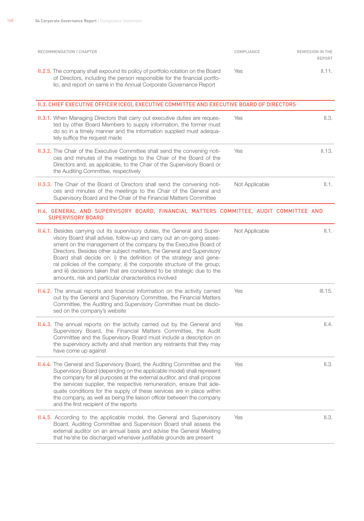| RECOMMENDATION / CHAPTER                                                                                                                                                                                                                | COMPLIANCE | REMISSION IN THE<br>REPORT |
|-----------------------------------------------------------------------------------------------------------------------------------------------------------------------------------------------------------------------------------------|------------|----------------------------|
| <b>II.2.5.</b> The company shall expound its policy of portfolio rotation on the Board<br>of Directors, including the person responsible for the financial portfo-<br>lio, and report on same in the Annual Corporate Governance Report | Yes.       | II.11.                     |

| II.3. CHIEF EXECUTIVE OFFICER (CEO), EXECUTIVE COMMITTEE AND EXECUTIVE BOARD OF DIRECTORS                                                                                                                                                                                |                |        |
|--------------------------------------------------------------------------------------------------------------------------------------------------------------------------------------------------------------------------------------------------------------------------|----------------|--------|
| <b>II.3.1.</b> When Managing Directors that carry out executive duties are reques-<br>ted by other Board Members to supply information, the former must<br>do so in a timely manner and the information supplied must adequa-<br>tely suffice the request made           | Yes            | II.3.  |
| <b>II.3.2.</b> The Chair of the Executive Committee shall send the convening noti-<br>ces and minutes of the meetings to the Chair of the Board of the<br>Directors and, as applicable, to the Chair of the Supervisory Board or<br>the Auditing Committee, respectively | Yes            | II.13. |
| <b>II.3.3.</b> The Chair of the Board of Directors shall send the convening noti-<br>ces and minutes of the meetings to the Chair of the General and<br>Supervisory Board and the Chair of the Financial Matters Committee                                               | Not Applicable | II.1.  |

#### II.4. General and Supervisory Board, Financial Matters Committee, Audit Committee and SUPERVISORY BOARD

| <b>II.4.1.</b> Besides carrying out its supervisory duties, the General and Super-<br>visory Board shall advise, follow-up and carry out an on-going asses-<br>sment on the management of the company by the Executive Board of<br>Directors. Besides other subject matters, the General and Supervisory<br>Board shall decide on: i) the definition of the strategy and gene-<br>ral policies of the company; ii) the corporate structure of the group;<br>and iii) decisions taken that are considered to be strategic due to the<br>amounts, risk and particular characteristics involved | Not Applicable | II.1.   |
|----------------------------------------------------------------------------------------------------------------------------------------------------------------------------------------------------------------------------------------------------------------------------------------------------------------------------------------------------------------------------------------------------------------------------------------------------------------------------------------------------------------------------------------------------------------------------------------------|----------------|---------|
| <b>II.4.2.</b> The annual reports and financial information on the activity carried<br>out by the General and Supervisory Committee, the Financial Matters<br>Committee, the Auditing and Supervisory Committee must be disclo-<br>sed on the company's website                                                                                                                                                                                                                                                                                                                              | Yes            | III.15. |
| <b>II.4.3.</b> The annual reports on the activity carried out by the General and<br>Supervisory Board, the Financial Matters Committee, the Audit<br>Committee and the Supervisory Board must include a description on<br>the supervisory activity and shall mention any restraints that they may<br>have come up against                                                                                                                                                                                                                                                                    | Yes            | II.4.   |
| <b>II.4.4.</b> The General and Supervisory Board, the Auditing Committee and the<br>Supervisory Board (depending on the applicable model) shall represent<br>the company for all purposes at the external auditor, and shall propose<br>the services supplier, the respective remuneration, ensure that ade-<br>quate conditions for the supply of these services are in place within<br>the company, as well as being the liaison officer between the company<br>and the first recipient of the reports                                                                                     | Yes            | II.3.   |
| <b>II.4.5.</b> According to the applicable model, the General and Supervisory<br>Board, Auditing Committee and Supervision Board shall assess the<br>external auditor on an annual basis and advise the General Meeting<br>that he/she be discharged whenever justifiable grounds are present                                                                                                                                                                                                                                                                                                | Yes            | II.3.   |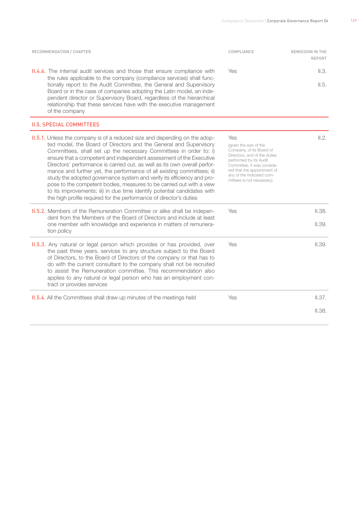| RECOMMENDATION / CHAPTER                                                                                                                                                                                                                                                                                                                                                                                                                                                                                                                                                                                                                                                                                                                                      | COMPLIANCE                                                                                                                                                                                                                                 | <b>REMISSION IN THE</b><br>REPORT |
|---------------------------------------------------------------------------------------------------------------------------------------------------------------------------------------------------------------------------------------------------------------------------------------------------------------------------------------------------------------------------------------------------------------------------------------------------------------------------------------------------------------------------------------------------------------------------------------------------------------------------------------------------------------------------------------------------------------------------------------------------------------|--------------------------------------------------------------------------------------------------------------------------------------------------------------------------------------------------------------------------------------------|-----------------------------------|
| <b>II.4.6.</b> The internal audit services and those that ensure compliance with<br>the rules applicable to the company (compliance services) shall func-<br>tionally report to the Audit Committee, the General and Supervisory<br>Board or in the case of companies adopting the Latin model, an inde-<br>pendent director or Supervisory Board, regardless of the hierarchical<br>relationship that these services have with the executive management<br>of the company                                                                                                                                                                                                                                                                                    | Yes                                                                                                                                                                                                                                        | II.3.<br>II.5.                    |
| <b>II.5. SPECIAL COMMITTEES</b>                                                                                                                                                                                                                                                                                                                                                                                                                                                                                                                                                                                                                                                                                                                               |                                                                                                                                                                                                                                            |                                   |
| <b>II.5.1.</b> Unless the company is of a reduced size and depending on the adop-<br>ted model, the Board of Directors and the General and Supervisory<br>Committees, shall set up the necessary Committees in order to: i)<br>ensure that a competent and independent assessment of the Executive<br>Directors' performance is carried out, as well as its own overall perfor-<br>mance and further yet, the performance of all existing committees; ii)<br>study the adopted governance system and verify its efficiency and pro-<br>pose to the competent bodies, measures to be carried out with a view<br>to its improvements; iii) in due time identify potential candidates with<br>the high profile required for the performance of director's duties | Yes<br>(given the size of the<br>Company, of its Board of<br>Directors, and of the duties<br>performed by its Audit<br>Committee, it was conside-<br>red that the appointment of<br>any of the indicated com-<br>mittees is not necessary) | II.2.                             |
| <b>II.5.2.</b> Members of the Remuneration Committee or alike shall be indepen-<br>dent from the Members of the Board of Directors and include at least<br>one member with knowledge and experience in matters of remunera-<br>tion policy                                                                                                                                                                                                                                                                                                                                                                                                                                                                                                                    | Yes                                                                                                                                                                                                                                        | II.38.<br>II.39.                  |
| <b>II.5.3.</b> Any natural or legal person which provides or has provided, over<br>the past three years, services to any structure subject to the Board<br>of Directors, to the Board of Directors of the company or that has to<br>do with the current consultant to the company shall not be recruited<br>to assist the Remuneration committee. This recommendation also<br>applies to any natural or legal person who has an employment con-<br>tract or provides services                                                                                                                                                                                                                                                                                 | Yes                                                                                                                                                                                                                                        | II.39.                            |
| <b>II.5.4.</b> All the Committees shall draw up minutes of the meetings held                                                                                                                                                                                                                                                                                                                                                                                                                                                                                                                                                                                                                                                                                  | Yes                                                                                                                                                                                                                                        | II.37.                            |
|                                                                                                                                                                                                                                                                                                                                                                                                                                                                                                                                                                                                                                                                                                                                                               |                                                                                                                                                                                                                                            | II.38.                            |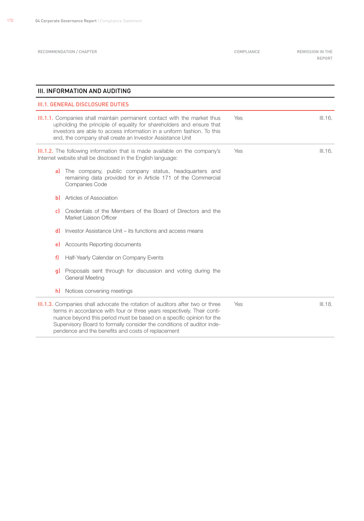RECOMMENDATION / CHAPTER **COMPLIANCE** COMPLIANCE **REMISSION IN THE** 

Report

| III. INFORMATION AND AUDITING |                                                                                                                                                                                                                                                                                                                                                                   |     |         |
|-------------------------------|-------------------------------------------------------------------------------------------------------------------------------------------------------------------------------------------------------------------------------------------------------------------------------------------------------------------------------------------------------------------|-----|---------|
|                               | <b>III.1. GENERAL DISCLOSURE DUTIES</b>                                                                                                                                                                                                                                                                                                                           |     |         |
|                               | III.1.1. Companies shall maintain permanent contact with the market thus<br>upholding the principle of equality for shareholders and ensure that<br>investors are able to access information in a uniform fashion. To this<br>end, the company shall create an Investor Assistance Unit                                                                           | Yes | III.16. |
|                               | III.1.2. The following information that is made available on the company's<br>Internet website shall be disclosed in the English language:                                                                                                                                                                                                                        | Yes | III.16. |
| al                            | The company, public company status, headquarters and<br>remaining data provided for in Article 171 of the Commercial<br>Companies Code                                                                                                                                                                                                                            |     |         |
| ыı                            | Articles of Association                                                                                                                                                                                                                                                                                                                                           |     |         |
| cl                            | Credentials of the Members of the Board of Directors and the<br>Market Liaison Officer                                                                                                                                                                                                                                                                            |     |         |
| dl                            | Investor Assistance Unit – its functions and access means                                                                                                                                                                                                                                                                                                         |     |         |
| el                            | Accounts Reporting documents                                                                                                                                                                                                                                                                                                                                      |     |         |
| f                             | Half-Yearly Calendar on Company Events                                                                                                                                                                                                                                                                                                                            |     |         |
| q)                            | Proposals sent through for discussion and voting during the<br>General Meeting                                                                                                                                                                                                                                                                                    |     |         |
| h)                            | Notices convening meetings                                                                                                                                                                                                                                                                                                                                        |     |         |
|                               | III.1.3. Companies shall advocate the rotation of auditors after two or three<br>terms in accordance with four or three years respectively. Their conti-<br>nuance beyond this period must be based on a specific opinion for the<br>Supervisory Board to formally consider the conditions of auditor inde-<br>pendence and the benefits and costs of replacement | Yes | III.18. |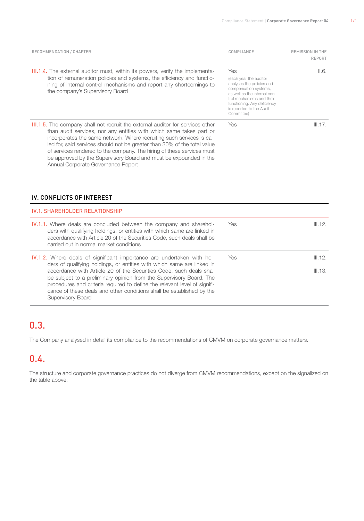| RECOMMENDATION / CHAPTER                                                                                                                                                                                                                                                                                                                                                                                                                                                                               | COMPLIANCE                                                                                                                                                                                                                | <b>REMISSION IN THE</b><br>REPORT |
|--------------------------------------------------------------------------------------------------------------------------------------------------------------------------------------------------------------------------------------------------------------------------------------------------------------------------------------------------------------------------------------------------------------------------------------------------------------------------------------------------------|---------------------------------------------------------------------------------------------------------------------------------------------------------------------------------------------------------------------------|-----------------------------------|
| <b>III.1.4.</b> The external auditor must, within its powers, verify the implementa-<br>tion of remuneration policies and systems, the efficiency and functio-<br>ning of internal control mechanisms and report any shortcomings to<br>the company's Supervisory Board                                                                                                                                                                                                                                | Yes<br>(each year the auditor<br>analyses the policies and<br>compensation systems,<br>as well as the internal con-<br>trol mechanisms and their<br>functioning. Any deficiency<br>is reported to the Audit<br>Committee) | II.6.                             |
| <b>III.1.5.</b> The company shall not recruit the external auditor for services other<br>than audit services, nor any entities with which same takes part or<br>incorporates the same network. Where recruiting such services is cal-<br>led for, said services should not be greater than 30% of the total value<br>of services rendered to the company. The hiring of these services must<br>be approved by the Supervisory Board and must be expounded in the<br>Annual Corporate Governance Report | <b>Yes</b>                                                                                                                                                                                                                | III.17.                           |

#### IV. CONFLICTS OF INTEREST

| <b>IV.1. SHAREHOLDER RELATIONSHIP</b>                                                                                                                                                                                                                                                                                                                                                                                                                                            |            |                    |  |
|----------------------------------------------------------------------------------------------------------------------------------------------------------------------------------------------------------------------------------------------------------------------------------------------------------------------------------------------------------------------------------------------------------------------------------------------------------------------------------|------------|--------------------|--|
| <b>IV.1.1.</b> Where deals are concluded between the company and sharehol-<br>ders with qualifying holdings, or entities with which same are linked in<br>accordance with Article 20 of the Securities Code, such deals shall be<br>carried out in normal market conditions                                                                                                                                                                                                      | <b>Yes</b> | III.12.            |  |
| <b>IV.1.2.</b> Where deals of significant importance are undertaken with hol-<br>ders of qualifying holdings, or entities with which same are linked in<br>accordance with Article 20 of the Securities Code, such deals shall<br>be subject to a preliminary opinion from the Supervisory Board. The<br>procedures and criteria required to define the relevant level of signifi-<br>cance of these deals and other conditions shall be established by the<br>Supervisory Board | Yes        | III.12.<br>III.13. |  |

# 0.3.

The Company analysed in detail its compliance to the recommendations of CMVM on corporate governance matters.

# 0.4.

The structure and corporate governance practices do not diverge from CMVM recommendations, except on the signalized on the table above.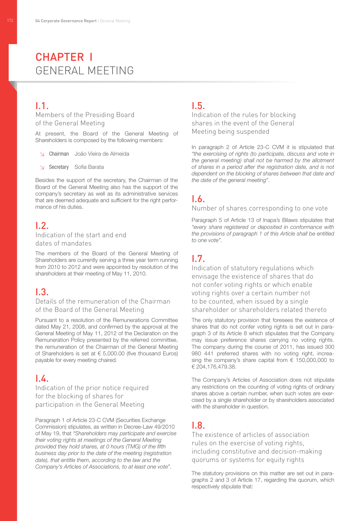# CHAPTER I General Meeting

# I.1.

Members of the Presiding Board of the General Meeting

At present, the Board of the General Meeting of Shareholders is composed by the following members:

- ↘ Chairman João Vieira de Almeida
- ↘ Secretary Sofia Barata

Besides the support of the secretary, the Chairman of the Board of the General Meeting also has the support of the company's secretary as well as its administrative services that are deemed adequate and sufficient for the right performance of his duties.

# I.2.

#### Indication of the start and end dates of mandates

The members of the Board of the General Meeting of Shareholders are currently serving a three year term running from 2010 to 2012 and were appointed by resolution of the shareholders at their meeting of May 11, 2010.

#### $\overline{1}$ .3.

#### Details of the remuneration of the Chairman of the Board of the General Meeting

Pursuant to a resolution of the Remunerations Committee dated May 21, 2008, and confirmed by the approval at the General Meeting of May 11, 2012 of the Declaration on the Remuneration Policy presented by the referred committee, the remuneration of the Chairman of the General Meeting of Shareholders is set at  $\epsilon$  5,000.00 (five thousand Euros) payable for every meeting chaired.

## $\overline{14}$

Indication of the prior notice required for the blocking of shares for participation in the General Meeting

Paragraph 1 of Article 23-C CVM (Securities Exchange Commission) stipulates, as written in Decree-Law 49/2010 of May 19, that *"Shareholders may participate and exercise their voting rights at meetings of the General Meeting provided they hold shares, at 0 hours (TMG) of the fifth business day prior to the date of the meeting (registration date), that entitle them, according to the law and the Company's Articles of Associations, to at least one vote"*.

# I.5.

Indication of the rules for blocking shares in the event of the General Meeting being suspended

In paragraph 2 of Article 23-C CVM it is stipulated that *"the exercising of rights (to participate, discuss and vote in the general meeting) shall not be harmed by the allotment of shares in a period after the registration date, and is not dependent on the blocking of shares between that date and the date of the general meeting"*.

# I.6.

#### Number of shares corresponding to one vote

Paragraph 5 of Article 13 of Inapa's Bilaws stipulates that *"every share registered or deposited in conformance with the provisions of paragraph 1 of this Article shall be entitled to one vote".*

# I.7.

Indication of statutory regulations which envisage the existence of shares that do not confer voting rights or which enable voting rights over a certain number not to be counted, when issued by a single shareholder or shareholders related thereto

The only statutory provision that foresees the existence of shares that do not confer voting rights is set out in paragraph 3 of its Article 8 which stipulates that the Company may issue preference shares carrying no voting rights. The company during the course of 2011, has issued 300 980 441 preferred shares with no voting right, increasing the company's share capital from  $\epsilon$  150,000,000 to € 204,176,479.38.

The Company's Articles of Association does not stipulate any restrictions on the counting of voting rights of ordinary shares above a certain number, when such votes are exercised by a single shareholder or by shareholders associated with the shareholder in question.

# $\overline{R}$

The existence of articles of association rules on the exercise of voting rights, including constitutive and decision-making quorums or systems for equity rights

The statutory provisions on this matter are set out in paragraphs 2 and 3 of Article 17, regarding the quorum, which respectively stipulate that: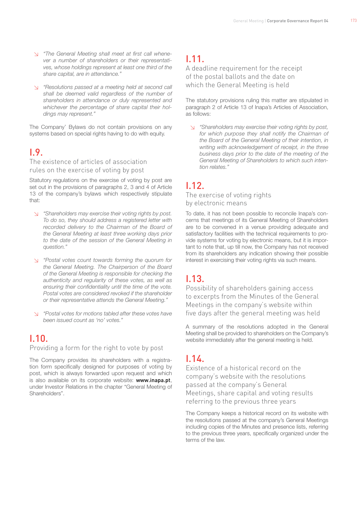- ↘ *"The General Meeting shall meet at first call whenever a number of shareholders or their representatives, whose holdings represent at least one third of the share capital, are in attendance."*
- ↘ *"Resolutions passed at a meeting held at second call shall be deemed valid regardless of the number of shareholders in attendance or duly represented and whichever the percentage of share capital their holdings may represent."*

The Company' Bylaws do not contain provisions on any systems based on special rights having to do with equity.

# I.9.

The existence of articles of association rules on the exercise of voting by post

Statutory regulations on the exercise of voting by post are set out in the provisions of paragraphs 2, 3 and 4 of Article 13 of the company's bylaws which respectively stipulate that:

- ↘ *"Shareholders may exercise their voting rights by post. To do so, they should address a registered letter with recorded delivery to the Chairman of the Board of the General Meeting at least three working days prior to the date of the session of the General Meeting in question."*
- ↘ *"Postal votes count towards forming the quorum for the General Meeting. The Chairperson of the Board of the General Meeting is responsible for checking the authenticity and regularity of these votes, as well as ensuring their confidentiality until the time of the vote. Postal votes are considered revoked if the shareholder or their representative attends the General Meeting."*
- ↘ *"Postal votes for motions tabled after these votes have been issued count as 'no' votes."*

# I.10.

Providing a form for the right to vote by post

The Company provides its shareholders with a registration form specifically designed for purposes of voting by post, which is always forwarded upon request and which is also available on its corporate website: www.inapa.pt, under Investor Relations in the chapter "General Meeting of Shareholders".

# I.11.

A deadline requirement for the receipt of the postal ballots and the date on which the General Meeting is held

The statutory provisions ruling this matter are stipulated in paragraph 2 of Article 13 of Inapa's Articles of Association, as follows:

↘ *"Shareholders may exercise their voting rights by post, for which purpose they shall notify the Chairman of the Board of the General Meeting of their intention, in writing with acknowledgement of receipt, in the three business days prior to the date of the meeting of the General Meeting of Shareholders to which such intention relates."* 

# I.12.

The exercise of voting rights by electronic means

To date, it has not been possible to reconcile Inapa's concerns that meetings of its General Meeting of Shareholders are to be convened in a venue providing adequate and satisfactory facilities with the technical requirements to provide systems for voting by electronic means, but it is important to note that, up till now, the Company has not received from its shareholders any indication showing their possible interest in exercising their voting rights via such means.

# I.13.

Possibility of shareholders gaining access to excerpts from the Minutes of the General Meetings in the company's website within five days after the general meeting was held

A summary of the resolutions adopted in the General Meeting shall be provided to shareholders on the Company's website immediately after the general meeting is held.

# $\overline{11}$

Existence of a historical record on the company's website with the resolutions passed at the company's General Meetings, share capital and voting results referring to the previous three years

The Company keeps a historical record on its website with the resolutions passed at the company's General Meetings including copies of the Minutes and presence lists, referring to the previous three years, specifically organized under the terms of the law.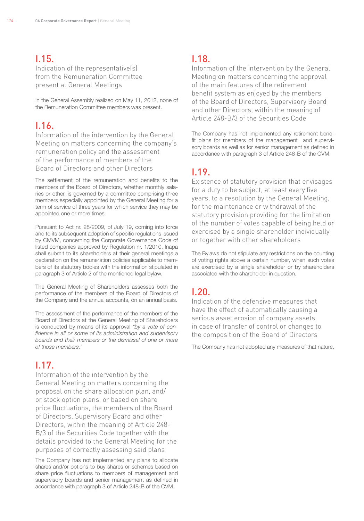# I.15.

Indication of the representative(s) from the Remuneration Committee present at General Meetings

In the General Assembly realized on May 11, 2012, none of the Remuneration Committee members was present.

# I.16.

Information of the intervention by the General Meeting on matters concerning the company's remuneration policy and the assessment of the performance of members of the Board of Directors and other Directors

The settlement of the remuneration and benefits to the members of the Board of Directors, whether monthly salaries or other, is governed by a committee comprising three members especially appointed by the General Meeting for a term of service of three years for which service they may be appointed one or more times.

Pursuant to Act nr. 28/2009, of July 19, coming into force and to its subsequent adoption of specific regulations issued by CMVM, concerning the Corporate Governance Code of listed companies approved by Regulation nr. 1/2010, Inapa shall submit to its shareholders at their general meetings a declaration on the remuneration policies applicable to members of its statutory bodies with the information stipulated in paragraph 3 of Article 2 of the mentioned legal bylaw.

The General Meeting of Shareholders assesses both the performance of the members of the Board of Directors of the Company and the annual accounts, on an annual basis.

The assessment of the performance of the members of the Board of Directors at the General Meeting of Shareholders is conducted by means of its approval *"by a vote of confidence in all or some of its administration and supervisory boards and their members or the dismissal of one or more of those members."*

# I.17.

Information of the intervention by the General Meeting on matters concerning the proposal on the share allocation plan, and/ or stock option plans, or based on share price fluctuations, the members of the Board of Directors, Supervisory Board and other Directors, within the meaning of Article 248- B/3 of the Securities Code together with the details provided to the General Meeting for the purposes of correctly assessing said plans

The Company has not implemented any plans to allocate shares and/or options to buy shares or schemes based on share price fluctuations to members of management and supervisory boards and senior management as defined in accordance with paragraph 3 of Article 248-B of the CVM.

## I.18.

Information of the intervention by the General Meeting on matters concerning the approval of the main features of the retirement benefit system as enjoyed by the members of the Board of Directors, Supervisory Board and other Directors, within the meaning of Article 248-B/3 of the Securities Code

The Company has not implemented any retirement benefit plans for members of the management and supervisory boards as well as for senior management as defined in accordance with paragraph 3 of Article 248-B of the CVM.

# I.19.

Existence of statutory provision that envisages for a duty to be subject, at least every five years, to a resolution by the General Meeting, for the maintenance or withdrawal of the statutory provision providing for the limitation of the number of votes capable of being held or exercised by a single shareholder individually or together with other shareholders

The Bylaws do not stipulate any restrictions on the counting of voting rights above a certain number, when such votes are exercised by a single shareholder or by shareholders associated with the shareholder in question.

# I.20.

Indication of the defensive measures that have the effect of automatically causing a serious asset erosion of company assets in case of transfer of control or changes to the composition of the Board of Directors

The Company has not adopted any measures of that nature.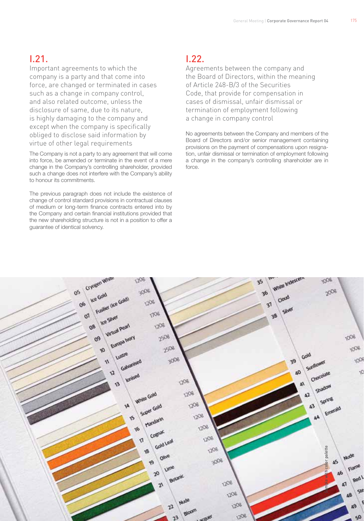# I.21.

Important agreements to which the company is a party and that come into force, are changed or terminated in cases such as a change in company control, and also related outcome, unless the disclosure of same, due to its nature, is highly damaging to the company and except when the company is specifically obliged to disclose said information by virtue of other legal requirements

The Company is not a party to any agreement that will come into force, be amended or terminate in the event of a mere change in the Company's controlling shareholder, provided such a change does not interfere with the Company's ability to honour its commitments.

The previous paragraph does not include the existence of change of control standard provisions in contractual clauses of medium or long-term finance contracts entered into by the Company and certain financial institutions provided that the new shareholding structure is not in a position to offer a guarantee of identical solvency.

# I.22.

Agreements between the company and the Board of Directors, within the meaning of Article 248-B/3 of the Securities Code, that provide for compensation in cases of dismissal, unfair dismissal or termination of employment following a change in company control

No agreements between the Company and members of the Board of Directors and/or senior management containing provisions on the payment of compensations upon resignation, unfair dismissal or termination of employment following a change in the company's controlling shareholder are in force.

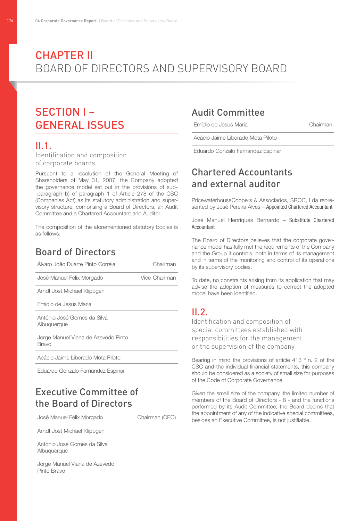# **CHAPTER II** Board of Directors and Supervisory Board

# Section I – General Issues

## II.1.

Identification and composition of corporate boards

Pursuant to a resolution of the General Meeting of Shareholders of May 31, 2007, the Company adopted the governance model set out in the provisions of sub- -paragraph b) of paragraph 1 of Article 278 of the CSC (Companies Act) as its statutory administration and supervisory structure, comprising a Board of Directors, an Audit Committee and a Chartered Accountant and Auditor.

The composition of the aforementioned statutory bodies is as follows:

# Board of Directors

| Alvaro João Duarte Pinto Correia             | Chairman      |
|----------------------------------------------|---------------|
| José Manuel Félix Morgado                    | Vice-Chairman |
| Arndt Jost Michael Klippgen                  |               |
| Emídio de Jesus Maria                        |               |
| António José Gomes da Silva<br>Albuquerque   |               |
| Jorge Manuel Viana de Azevedo Pinto<br>Bravo |               |
| Acácio Jaime Liberado Mota Piloto            |               |
| Eduardo Gonzalo Fernandez Espinar            |               |
|                                              |               |

# Executive Committee of the Board of Directors

José Manuel Félix Morgado Chairman (CEO)

Arndt Jost Michael Klippgen

António José Gomes da Silva Albuquerque

Jorge Manuel Viana de Azevedo Pinto Bravo

# Audit Committee

Emídio de Jesus Maria Chairman

Acácio Jaime Liberado Mota Piloto

Eduardo Gonzalo Fernandez Espinar

# Chartered Accountants and external auditor

PricewaterhouseCoopers & Associados, SROC, Lda represented by José Pereira Alves – Appointed Chartered Accountant

José Manuel Henriques Bernardo – Substitute Chartered Accountant

The Board of Directors believes that the corporate governance model has fully met the requirements of the Company and the Group it controls, both in terms of its management and in terms of the monitoring and control of its operations by its supervisory bodies.

To date, no constraints arising from its application that may advise the adoption of measures to correct the adopted model have been identified.

# II.2.

Identification and composition of special committees established with responsibilities for the management or the supervision of the company

Bearing in mind the provisions of article 413 ° n. 2 of the CSC and the individual financial statements, this company should be considered as a society of small size for purposes of the Code of Corporate Governance.

Given the small size of the company, the limited number of members of the Board of Directors - 8 - and the functions performed by its Audit Committee, the Board deems that the appointment of any of the indicative special committees, besides an Executive Committee, is not justifiable.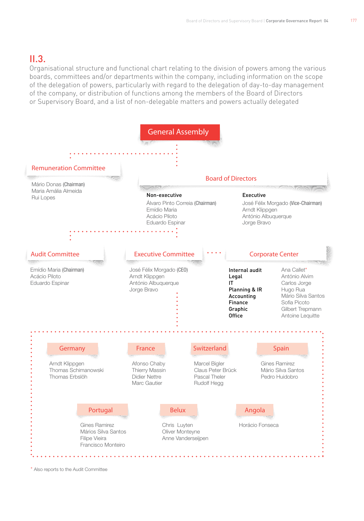# $II.3.$

Organisational structure and functional chart relating to the division of powers among the various boards, committees and/or departments within the company, including information on the scope of the delegation of powers, particularly with regard to the delegation of day-to-day management of the company, or distribution of functions among the members of the Board of Directors or Supervisory Board, and a list of non-delegable matters and powers actually delegated



\* Also reports to the Audit Committee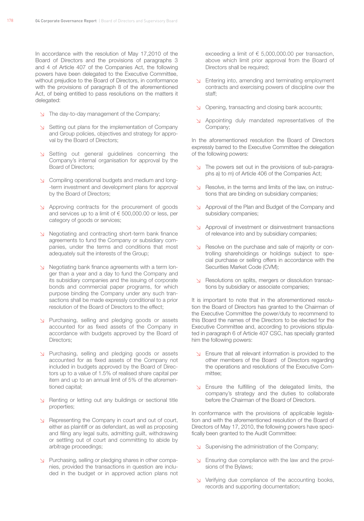In accordance with the resolution of May 17,2010 of the Board of Directors and the provisions of paragraphs 3 and 4 of Article 407 of the Companies Act, the following powers have been delegated to the Executive Committee, without prejudice to the Board of Directors, in conformance with the provisions of paragraph 8 of the aforementioned Act, of being entitled to pass resolutions on the matters it delegated:

- ↘ The day-to-day management of the Company;
- ↘ Setting out plans for the implementation of Company and Group policies, objectives and strategy for approval by the Board of Directors;
- ↘ Setting out general guidelines concerning the Company's internal organisation for approval by the Board of Directors;
- ↘ Compiling operational budgets and medium and long- -term investment and development plans for approval by the Board of Directors;
- ↘ Approving contracts for the procurement of goods and services up to a limit of € 500,000.00 or less, per category of goods or services;
- ↘ Negotiating and contracting short-term bank finance agreements to fund the Company or subsidiary companies, under the terms and conditions that most adequately suit the interests of the Group;
- ↘ Negotiating bank finance agreements with a term longer than a year and a day to fund the Company and its subsidiary companies and the issuing of corporate bonds and commercial paper programs, for which purpose binding the Company under any such transactions shall be made expressly conditional to a prior resolution of the Board of Directors to the effect;
- ↘ Purchasing, selling and pledging goods or assets accounted for as fixed assets of the Company in accordance with budgets approved by the Board of Directors;
- ↘ Purchasing, selling and pledging goods or assets accounted for as fixed assets of the Company not included in budgets approved by the Board of Directors up to a value of 1.5% of realised share capital per item and up to an annual limit of 5% of the aforementioned capital;
- ↘ Renting or letting out any buildings or sectional title properties;
- ↘ Representing the Company in court and out of court, either as plaintiff or as defendant, as well as proposing and filing any legal suits, admitting guilt, withdrawing or settling out of court and committing to abide by arbitrage proceedings;
- ↘ Purchasing, selling or pledging shares in other companies, provided the transactions in question are included in the budget or in approved action plans not

exceeding a limit of  $\epsilon$  5,000,000,00 per transaction. above which limit prior approval from the Board of Directors shall be required;

- ↘ Entering into, amending and terminating employment contracts and exercising powers of discipline over the staff;
- ↘ Opening, transacting and closing bank accounts;
- ↘ Appointing duly mandated representatives of the Company;

In the aforementioned resolution the Board of Directors expressly barred to the Executive Committee the delegation of the following powers:

- ↘ The powers set out in the provisions of sub-paragraphs a) to m) of Article 406 of the Companies Act;
- ↘ Resolve, in the terms and limits of the law, on instructions that are binding on subsidiary companies;
- ↘ Approval of the Plan and Budget of the Company and subsidiary companies;
- ↘ Approval of investment or disinvestment transactions of relevance into and by subsidiary companies;
- ↘ Resolve on the purchase and sale of majority or controlling shareholdings or holdings subject to special purchase or selling offers in accordance with the Securities Market Code (CVM);
- ↘ Resolutions on splits, mergers or dissolution transactions by subsidiary or associate companies;

It is important to note that in the aforementioned resolution the Board of Directors has granted to the Chairman of the Executive Committee the power/duty to recommend to this Board the names of the Directors to be elected for the Executive Committee and, according to provisions stipulated in paragraph 6 of Article 407 CSC, has specially granted him the following powers:

- ↘ Ensure that all relevant information is provided to the other members of the Board of Directors regarding the operations and resolutions of the Executive Committee;
- ↘ Ensure the fulfilling of the delegated limits, the company's strategy and the duties to collaborate before the Chairman of the Board of Directors.

In conformance with the provisions of applicable legislation and with the aforementioned resolution of the Board of Directors of May 17, 2010, the following powers have specifically been granted to the Audit Committee:

- ↘ Supervising the administration of the Company;
- ↘ Ensuring due compliance with the law and the provisions of the Bylaws;
- ↘ Verifying due compliance of the accounting books, records and supporting documentation;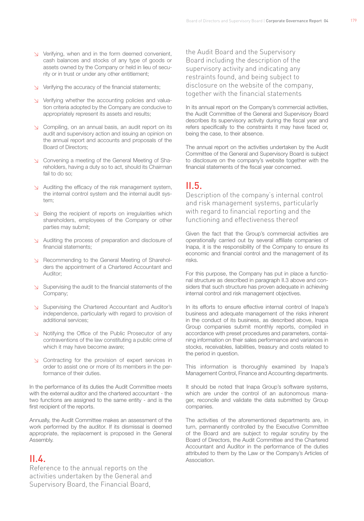- ↘ Verifying, when and in the form deemed convenient, cash balances and stocks of any type of goods or assets owned by the Company or held in lieu of security or in trust or under any other entitlement;
- ↘ Verifying the accuracy of the financial statements;
- ↘ Verifying whether the accounting policies and valuation criteria adopted by the Company are conducive to appropriately represent its assets and results;
- ↘ Compiling, on an annual basis, an audit report on its audit and supervisory action and issuing an opinion on the annual report and accounts and proposals of the Board of Directors;
- ↘ Convening a meeting of the General Meeting of Shareholders, having a duty so to act, should its Chairman fail to do so;
- ↘ Auditing the efficacy of the risk management system, the internal control system and the internal audit system;
- ↘ Being the recipient of reports on irregularities which shareholders, employees of the Company or other parties may submit;
- ↘ Auditing the process of preparation and disclosure of financial statements;
- ↘ Recommending to the General Meeting of Shareholders the appointment of a Chartered Accountant and Auditor;
- ↘ Supervising the audit to the financial statements of the Company;
- ↘ Supervising the Chartered Accountant and Auditor's independence, particularly with regard to provision of additional services;
- ↘ Notifying the Office of the Public Prosecutor of any contraventions of the law constituting a public crime of which it may have become aware;
- ↘ Contracting for the provision of expert services in order to assist one or more of its members in the performance of their duties.

In the performance of its duties the Audit Committee meets with the external auditor and the chartered accountant - the two functions are assigned to the same entity - and is the first recipient of the reports.

Annually, the Audit Committee makes an assessment of the work performed by the auditor. If its dismissal is deemed appropriate, the replacement is proposed in the General Assembly.

# $II.4$

Reference to the annual reports on the activities undertaken by the General and Supervisory Board, the Financial Board,

the Audit Board and the Supervisory Board including the description of the supervisory activity and indicating any restraints found, and being subject to disclosure on the website of the company, together with the financial statements

In its annual report on the Company's commercial activities, the Audit Committee of the General and Supervisory Board describes its supervisory activity during the fiscal year and refers specifically to the constraints it may have faced or, being the case, to their absence.

The annual report on the activities undertaken by the Audit Committee of the General and Supervisory Board is subject to disclosure on the company's website together with the financial statements of the fiscal year concerned.

# $II.5$

Description of the company's internal control and risk management systems, particularly with regard to financial reporting and the functioning and effectiveness thereof

Given the fact that the Group's commercial activities are operationally carried out by several affiliate companies of Inapa, it is the responsibility of the Company to ensure its economic and financial control and the management of its risks.

For this purpose, the Company has put in place a functional structure as described in paragraph II.3 above and considers that such structure has proven adequate in achieving internal control and risk management objectives.

In its efforts to ensure effective internal control of Inapa's business and adequate management of the risks inherent in the conduct of its business, as described above, Inapa Group companies submit monthly reports, compiled in accordance with preset procedures and parameters, containing information on their sales performance and variances in stocks, receivables, liabilities, treasury and costs related to the period in question.

This information is thoroughly examined by Inapa's Management Control, Finance and Accounting departments.

It should be noted that Inapa Group's software systems, which are under the control of an autonomous manager, reconcile and validate the data submitted by Group companies.

The activities of the aforementioned departments are, in turn, permanently controlled by the Executive Committee of the Board and are subject to regular scrutiny by the Board of Directors, the Audit Committee and the Chartered Accountant and Auditor in the performance of the duties attributed to them by the Law or the Company's Articles of Association.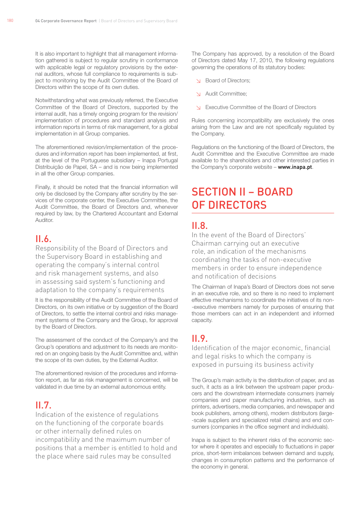It is also important to highlight that all management information gathered is subject to regular scrutiny in conformance with applicable legal or regulatory provisions by the external auditors, whose full compliance to requirements is subject to monitoring by the Audit Committee of the Board of Directors within the scope of its own duties.

Notwithstanding what was previously referred, the Executive Committee of the Board of Directors, supported by the internal audit, has a timely ongoing program for the revision/ implementation of procedures and standard analysis and information reports in terms of risk management, for a global implementation in all Group companies.

The aforementioned revision/implementation of the procedures and information report has been implemented, at first, at the level of the Portuguese subsidiary – Inapa Portugal Distribuição de Papel, SA – and is now being implemented in all the other Group companies.

Finally, it should be noted that the financial information will only be disclosed by the Company after scrutiny by the services of the corporate center, the Executive Committee, the Audit Committee, the Board of Directors and, whenever required by law, by the Chartered Accountant and External Auditor.

## II.6.

Responsibility of the Board of Directors and the Supervisory Board in establishing and operating the company's internal control and risk management systems, and also in assessing said system's functioning and adaptation to the company's requirements

It is the responsibility of the Audit Committee of the Board of Directors, on its own initiative or by suggestion of the Board of Directors, to settle the internal control and risks management systems of the Company and the Group, for approval by the Board of Directors.

The assessment of the conduct of the Company's and the Group's operations and adjustment to its needs are monitored on an ongoing basis by the Audit Committee and, within the scope of its own duties, by the External Auditor.

The aforementioned revision of the procedures and information report, as far as risk management is concerned, will be validated in due time by an external autonomous entity.

## $II.7$

Indication of the existence of regulations on the functioning of the corporate boards or other internally defined rules on incompatibility and the maximum number of positions that a member is entitled to hold and the place where said rules may be consulted

The Company has approved, by a resolution of the Board of Directors dated May 17, 2010, the following regulations governing the operations of its statutory bodies:

- ↘ Board of Directors;
- Audit Committee;
- ↘ Executive Committee of the Board of Directors

Rules concerning incompatibility are exclusively the ones arising from the Law and are not specifically regulated by the Company.

Regulations on the functioning of the Board of Directors, the Audit Committee and the Executive Committee are made available to the shareholders and other interested parties in the Company's corporate website – www.inapa.pt.

# Section II – Board of Directors

# $II.8$

In the event of the Board of Directors' Chairman carrying out an executive role, an indication of the mechanisms coordinating the tasks of non-executive members in order to ensure independence and notification of decisions

The Chairman of Inapa's Board of Directors does not serve in an executive role, and so there is no need to implement effective mechanisms to coordinate the initiatives of its non- -executive members namely for purposes of ensuring that those members can act in an independent and informed capacity.

# $II.9$

Identification of the major economic, financial and legal risks to which the company is exposed in pursuing its business activity

The Group's main activity is the distribution of paper, and as such, it acts as a link between the upstream paper producers and the downstream intermediate consumers (namely companies and paper manufacturing industries, such as printers, advertisers, media companies, and newspaper and book publishers, among others), modern distributors (large- -scale suppliers and specialized retail chains) and end consumers (companies in the office segment and individuals).

Inapa is subject to the inherent risks of the economic sector where it operates and especially to fluctuations in paper price, short-term imbalances between demand and supply, changes in consumption patterns and the performance of the economy in general.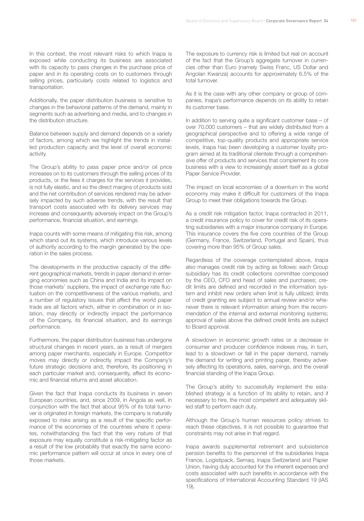In this context, the most relevant risks to which Inapa is exposed while conducting its business are associated with its capacity to pass changes in the purchase price of paper and in its operating costs on to customers through selling prices, particularly costs related to logistics and transportation.

Additionally, the paper distribution business is sensitive to changes in the behavioral patterns of the demand, mainly in segments such as advertising and media, and to changes in the distribution structure.

Balance between supply and demand depends on a variety of factors, among which we highlight the trends in installed production capacity and the level of overall economic activity.

The Group's ability to pass paper price and/or oil price increases on to its customers through the selling prices of its products, or the fees it charges for the services it provides, is not fully elastic, and so the direct margins of products sold and the net contribution of services rendered may be adversely impacted by such adverse trends, with the result that transport costs associated with its delivery services may increase and consequently adversely impact on the Group's performance, financial situation, and earnings.

Inapa counts with some means of mitigating this risk, among which stand out its systems, which introduce various levels of authority according to the margin generated by the operation in the sales process.

The developments in the productive capacity of the different geographical markets, trends in paper demand in emerging economies such as China and India and its impact on those markets' suppliers, the impact of exchange rate fluctuation on the competitiveness of the various markets, and a number of regulatory issues that affect the world paper trade are all factors which, either in combination or in isolation, may directly or indirectly impact the performance of the Company, its financial situation, and its earnings performance.

Furthermore, the paper distribution business has undergone structural changes in recent years, as a result of mergers among paper merchants, especially in Europe. Competitor moves may directly or indirectly impact the Company's future strategic decisions and, therefore, its positioning in each particular market and, consequently, affect its economic and financial returns and asset allocation.

Given the fact that Inapa conducts its business in seven European countries, and, since 2009, in Angola as well, in conjunction with the fact that about 95% of its total turnover is originated in foreign markets, the company is naturally exposed to risks arising as a result of the specific performance of the economies of the countries where it operates, notwithstanding the fact that the very nature of that exposure may equally constitute a risk-mitigating factor as a result of the low probability that exactly the same economic performance pattern will occur at once in every one of those markets.

The exposure to currency risk is limited but real on account of the fact that the Group's aggregate turnover in currencies other than Euro (namely Swiss Franc, US Dollar and Angolan Kwanza) accounts for approximately 6.5% of the total turnover.

As it is the case with any other company or group of companies, Inapa's performance depends on its ability to retain its customer base.

In addition to serving quite a significant customer base – of over 70,000 customers – that are widely distributed from a geographical perspective and to offering a wide range of competitive, top-quality products and appropriate service levels, Inapa has been developing a customer loyalty program aimed at its traditional clientele through a comprehensive offer of products and services that complement its core business with a view to increasingly assert itself as a global Paper Service Provider.

The impact on local economies of a downturn in the world economy may make it difficult for customers of the Inapa Group to meet their obligations towards the Group.

As a credit risk mitigation factor, Inapa contracted in 2011, a credit insurance policy to cover for credit risk of its operating subsidiaries with a major insurance company in Europe. This insurance covers the five core countries of the Group (Germany, France, Switzerland, Portugal and Spain), thus covering more than 95% of Group sales.

Regardless of the coverage contemplated above, Inapa also manages credit risk by acting as follows: each Group subsidiary has its credit collections committee composed by the CEO, CFO and head of sales and purchases; credit limits are defined and recorded in the information system and inhibit new orders when limit is fully utilized; limits of credit granting are subject to annual review and/or whenever there is relevant information arising from the recommendation of the internal and external monitoring systems; approval of sales above the defined credit limits are subject to Board approval.

A slowdown in economic growth rates or a decrease in consumer and producer confidence indexes may, in turn, lead to a slowdown or fall in the paper demand, namely the demand for writing and printing paper, thereby adversely affecting its operations, sales, earnings, and the overall financial standing of the Inapa Group.

The Group's ability to successfully implement the established strategy is a function of its ability to retain, and if necessary to hire, the most competent and adequately skilled staff to perform each duty.

Although the Group's human resources policy strives to reach these objectives, it is not possible to guarantee that constraints may not arise in that regard.

Inapa awards supplemental retirement and subsistence pension benefits to the personnel of the subsidiaries Inapa France, Logistipack, Semaq, Inapa Switzerland and Papier Union, having duly accounted for the inherent expenses and costs associated with such benefits in accordance with the specifications of International Accounting Standard 19 (IAS 19).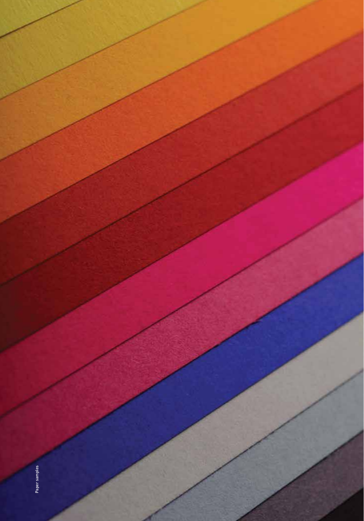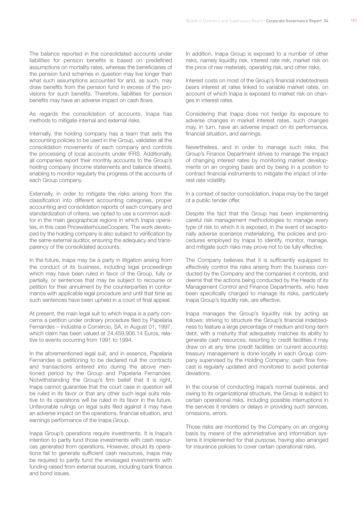The balance reported in the consolidated accounts under liabilities for pension benefits is based on predefined assumptions on mortality rates, whereas the beneficiaries of the pension fund schemes in question may live longer than what such assumptions accounted for and, as such, may draw benefits from the pension fund in excess of the provisions for such benefits. Therefore, liabilities for pension benefits may have an adverse impact on cash flows.

As regards the consolidation of accounts, Inapa has methods to mitigate internal and external risks.

Internally, the holding company has a team that sets the accounting policies to be used in the Group, validates all the consolidation movements of each company and controls the processing of local accounts under IFRS. Additionally, all companies report their monthly accounts to the Group's holding company (income statements and balance sheets), enabling to monitor regularly the progress of the accounts of each Group company.

Externally, in order to mitigate the risks arising from the classification into different accounting categories, proper accounting and consolidation reports of each company and standardization of criteria, we opted to use a common auditor in the main geographical regions in which Inapa operates, in this case PricewaterhouseCoopers. The work developed by the holding company is also subject to verification by the same external auditor, ensuring the adequacy and transparency of the consolidated accounts.

In the future, Inapa may be a party in litigation arising from the conduct of its business, including legal proceedings which may have been ruled in favor of the Group, fully or partially, or sentences that may be subject to recourse or petition for their annulment by the counterparties in conformance with applicable legal procedure and until that time as such sentences have been upheld in a court of final appeal.

At present, the main legal suit to which Inapa is a party concerns a petition under ordinary procedure filed by Papelaria Fernandes – Indústria e Comércio, SA, in August 01, 1997, which claim has been valued at 24,459,906.14 Euros, relative to events occurring from 1991 to 1994.

In the aforementioned legal suit, and in essence, Papelaria Fernandes is petitioning to be declared null the contracts and transactions entered into during the above mentioned period by the Group and Papelaria Fernandes. Notwithstanding the Group's firm belief that it is right, Inapa cannot guarantee that the court case in question will be ruled in its favor or that any other such legal suits relative to its operations will be ruled in its favor in the future. Unfavorable rulings on legal suits filed against it may have an adverse impact on the operations, financial situation, and earnings performance of the Inapa Group.

Inapa Group's operations require investments. It is Inapa's intention to partly fund those investments with cash resources generated from operations. However, should its operations fail to generate sufficient cash resources, Inapa may be required to partly fund the envisaged investments with funding raised from external sources, including bank finance and bond issues.

In addition, Inapa Group is exposed to a number of other risks, namely liquidity risk, interest rate risk, market risk on the price of raw materials, operating risk, and other risks.

Interest costs on most of the Group's financial indebtedness bears interest at rates linked to variable market rates, on account of which Inapa is exposed to market risk on changes in interest rates.

Considering that Inapa does not hedge its exposure to adverse changes in market interest rates, such changes may, in turn, have an adverse impact on its performance, financial situation, and earnings.

Nevertheless, and in order to manage such risks, the Group's Finance Department strives to manage the impact of changing interest rates by monitoring market developments on an ongoing basis and by being in a position to contract financial instruments to mitigate the impact of interest rate volatility.

In a context of sector consolidation, Inapa may be the target of a public tender offer.

Despite the fact that the Group has been implementing careful risk management methodologies to manage every type of risk to which it is exposed, in the event of exceptionally adverse scenarios materializing, the policies and procedures employed by Inapa to identify, monitor, manage, and mitigate such risks may prove not to be fully effective.

The Company believes that it is sufficiently equipped to effectively control the risks arising from the business conducted by the Company and the companies it controls, and deems that the actions being conducted by the Heads of its Management Control and Finance Departments, who have been specifically charged to manage its risks, particularly Inapa Group's liquidity risk, are effective.

Inapa manages the Group's liquidity risk by acting as follows: striving to structure the Group's financial indebtedness to feature a large percentage of medium and long-term debt, with a maturity that adequately matches its ability to generate cash resources; resorting to credit facilities it may draw on at any time (credit facilities on current accounts); treasury management is done locally in each Group company supervised by the Holding Company; cash flow forecast is regularly updated and monitored to avoid potential deviations.

In the course of conducting Inapa's normal business, and owing to its organizational structure, the Group is subject to certain operational risks, including possible interruptions in the services it renders or delays in providing such services, omissions, errors.

Those risks are monitored by the Company on an ongoing basis by means of the administrative and information systems it implemented for that purpose, having also arranged for insurance policies to cover certain operational risks.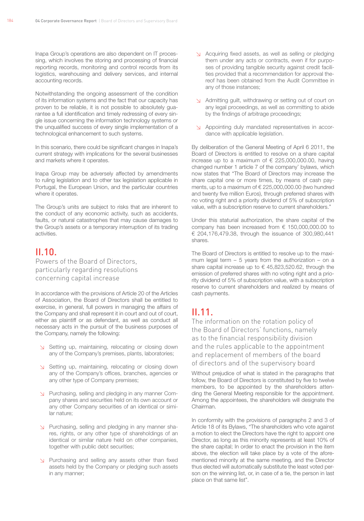Inapa Group's operations are also dependent on IT processing, which involves the storing and processing of financial reporting records, monitoring and control records from its logistics, warehousing and delivery services, and internal accounting records.

Notwithstanding the ongoing assessment of the condition of its information systems and the fact that our capacity has proven to be reliable, it is not possible to absolutely guarantee a full identification and timely redressing of every single issue concerning the information technology systems or the unqualified success of every single implementation of a technological enhancement to such systems.

In this scenario, there could be significant changes in Inapa's current strategy with implications for the several businesses and markets where it operates.

Inapa Group may be adversely affected by amendments to ruling legislation and to other tax legislation applicable in Portugal, the European Union, and the particular countries where it operates.

The Group's units are subject to risks that are inherent to the conduct of any economic activity, such as accidents, faults, or natural catastrophes that may cause damages to the Group's assets or a temporary interruption of its trading activities.

# $II.10$

Powers of the Board of Directors, particularly regarding resolutions concerning capital increase

In accordance with the provisions of Article 20 of the Articles of Association, the Board of Directors shall be entitled to exercise, in general, full powers in managing the affairs of the Company and shall represent it in court and out of court, either as plaintiff or as defendant, as well as conduct all necessary acts in the pursuit of the business purposes of the Company, namely the following:

- ↘ Setting up, maintaining, relocating or closing down any of the Company's premises, plants, laboratories;
- ↘ Setting up, maintaining, relocating or closing down any of the Company's offices, branches, agencies or any other type of Company premises;
- ↘ Purchasing, selling and pledging in any manner Company shares and securities held on its own account or any other Company securities of an identical or similar nature;
- ↘ Purchasing, selling and pledging in any manner shares, rights, or any other type of shareholdings of an identical or similar nature held on other companies, together with public debt securities;
- ↘ Purchasing and selling any assets other than fixed assets held by the Company or pledging such assets in any manner;
- ↘ Acquiring fixed assets, as well as selling or pledging them under any acts or contracts, even if for purposes of providing tangible security against credit facilities provided that a recommendation for approval thereof has been obtained from the Audit Committee in any of those instances;
- ↘ Admitting guilt, withdrawing or setting out of court on any legal proceedings, as well as committing to abide by the findings of arbitrage proceedings;
- ↘ Appointing duly mandated representatives in accordance with applicable legislation.

By deliberation of the General Meeting of April 6 2011, the Board of Directors is entitled to resolve on a share capital increase up to a maximum of  $\epsilon$  225,000,000.00, having changed number 1 article 7 of the company' bylaws, which now states that "The Board of Directors may increase the share capital one or more times, by means of cash payments, up to a maximum of € 225,000,000.00 (two hundred and twenty five million Euros), through preferred shares with no voting right and a priority dividend of 5% of subscription value, with a subscription reserve to current shareholders."

Under this staturial authorization, the share capital of the company has been increased from € 150,000,000.00 to € 204,176,479.38, through the issuance of 300,980,441 shares.

The Board of Directors is entitled to resolve up to the maximum legal term  $-5$  years from the authorization  $-$  on a share capital increase up to  $\epsilon$  45,823,520.62, through the emission of preferred shares with no voting right and a priority dividend of 5% of subscription value, with a subscription reserve to current shareholders and realized by means of cash payments.

# II.11.

The information on the rotation policy of the Board of Directors' functions, namely as to the financial responsibility division and the rules applicable to the appointment and replacement of members of the board of directors and of the supervisory board

Without prejudice of what is stated in the paragraphs that follow, the Board of Directors is constituted by five to twelve members, to be appointed by the shareholders attending the General Meeting responsible for the appointment. Among the appointees, the shareholders will designate the Chairman.

In conformity with the provisions of paragraphs 2 and 3 of Article 18 of its Bylaws, "The shareholders who vote against a motion to elect the Directors have the right to appoint one Director, as long as this minority represents at least 10% of the share capital; In order to enact the provision in the item above, the election will take place by a vote of the aforementioned minority at the same meeting, and the Director thus elected will automatically substitute the least voted person on the winning list, or, in case of a tie, the person in last place on that same list".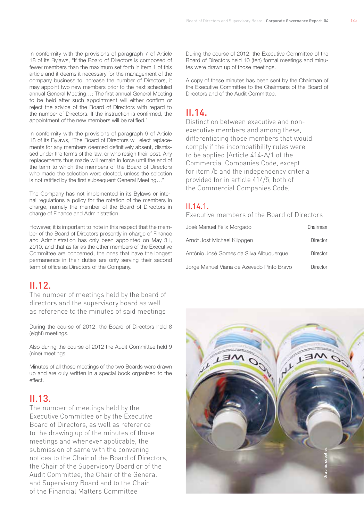In conformity with the provisions of paragraph 7 of Article 18 of its Bylaws, "If the Board of Directors is composed of fewer members than the maximum set forth in item 1 of this article and it deems it necessary for the management of the company business to increase the number of Directors, it may appoint two new members prior to the next scheduled annual General Meeting…; The first annual General Meeting to be held after such appointment will either confirm or reject the advice of the Board of Directors with regard to the number of Directors. If the instruction is confirmed, the appointment of the new members will be ratified."

In conformity with the provisions of paragraph 9 of Article 18 of its Bylaws, "The Board of Directors will elect replacements for any members deemed definitively absent, dismissed under the terms of the law, or who resign their post. Any replacements thus made will remain in force until the end of the term to which the members of the Board of Directors who made the selection were elected, unless the selection is not ratified by the first subsequent General Meeting…"

The Company has not implemented in its Bylaws or internal regulations a policy for the rotation of the members in charge, namely the member of the Board of Directors in charge of Finance and Administration.

However, it is important to note in this respect that the member of the Board of Directors presently in charge of Finance and Administration has only been appointed on May 31, 2010, and that as far as the other members of the Executive Committee are concerned, the ones that have the longest permanence in their duties are only serving their second term of office as Directors of the Company.

## II.12.

The number of meetings held by the board of directors and the supervisory board as well as reference to the minutes of said meetings

During the course of 2012, the Board of Directors held 8 (eight) meetings.

Also during the course of 2012 the Audit Committee held 9 (nine) meetings.

Minutes of all those meetings of the two Boards were drawn up and are duly written in a special book organized to the effect.

# II.13.

The number of meetings held by the Executive Committee or by the Executive Board of Directors, as well as reference to the drawing up of the minutes of those meetings and whenever applicable, the submission of same with the convening notices to the Chair of the Board of Directors, the Chair of the Supervisory Board or of the Audit Committee, the Chair of the General and Supervisory Board and to the Chair of the Financial Matters Committee

During the course of 2012, the Executive Committee of the Board of Directors held 10 (ten) formal meetings and minutes were drawn up of those meetings.

A copy of these minutes has been sent by the Chairman of the Executive Committee to the Chairmans of the Board of Directors and of the Audit Committee.

# II.14.

Distinction between executive and nonexecutive members and among these, differentiating those members that would comply if the incompatibility rules were to be applied (Article 414-A/1 of the Commercial Companies Code, except for item /b and the independency criteria provided for in article 414/5, both of the Commercial Companies Code).

#### II.14.1.

Executive members of the Board of Directors

| José Manuel Félix Morgado                 | Chairman        |
|-------------------------------------------|-----------------|
| Arndt Jost Michael Klippgen               | <b>Director</b> |
| António José Gomes da Silva Albuquerque   | <b>Director</b> |
| Jorge Manuel Viana de Azevedo Pinto Bravo | Director        |

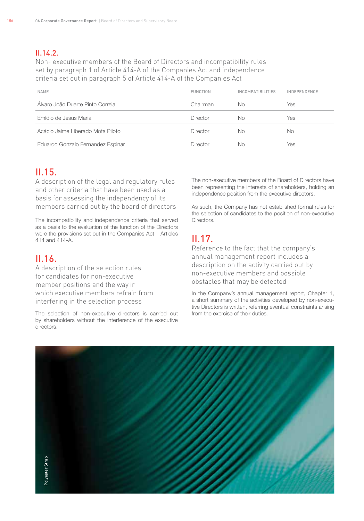#### $II.14.2$

Non- executive members of the Board of Directors and incompatibility rules set by paragraph 1 of Article 414-A of the Companies Act and independence criteria set out in paragraph 5 of Article 414-A of the Companies Act

| <b>NAME</b>                       | <b>FUNCTION</b> | <b>INCOMPATIBILITIES</b> | <b>INDEPENDENCE</b> |
|-----------------------------------|-----------------|--------------------------|---------------------|
| Álvaro João Duarte Pinto Correia  | Chairman        | No.                      | Yes                 |
| Emídio de Jesus Maria             | Director        | No.                      | Yes                 |
| Acácio Jaime Liberado Mota Piloto | Director        | No.                      | <b>No</b>           |
| Eduardo Gonzalo Fernandez Espinar | Director        | No                       | Yes                 |

# II.15.

A description of the legal and regulatory rules and other criteria that have been used as a basis for assessing the independency of its members carried out by the board of directors

The incompatibility and independence criteria that served as a basis to the evaluation of the function of the Directors were the provisions set out in the Companies Act – Articles 414 and 414-A.

# $II.16$

A description of the selection rules for candidates for non-executive member positions and the way in which executive members refrain from interfering in the selection process

The selection of non-executive directors is carried out by shareholders without the interference of the executive directors.

The non-executive members of the Board of Directors have been representing the interests of shareholders, holding an independence position from the executive directors.

As such, the Company has not established formal rules for the selection of candidates to the position of non-executive **Directors** 

# II.17.

Reference to the fact that the company's annual management report includes a description on the activity carried out by non-executive members and possible obstacles that may be detected

In the Company's annual management report, Chapter 1, a short summary of the activities developed by non-executive Directors is written, referring eventual constraints arising from the exercise of their duties.

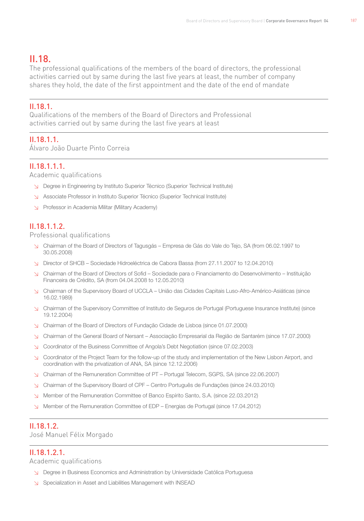107

# II.18.

The professional qualifications of the members of the board of directors, the professional activities carried out by same during the last five years at least, the number of company shares they hold, the date of the first appointment and the date of the end of mandate

#### II.18.1.

Qualifications of the members of the Board of Directors and Professional activities carried out by same during the last five years at least

## II.18.1.1.

Álvaro João Duarte Pinto Correia

#### II.18.1.1.1.

Academic qualifications

- ↘ Degree in Engineering by Instituto Superior Técnico (Superior Technical Institute)
- ↘ Associate Professor in Instituto Superior Técnico (Superior Technical Institute)
- ↘ Professor in Academia Militar (Military Academy)

#### II.18.1.1.2.

Professional qualifications

- ↘ Chairman of the Board of Directors of Tagusgás Empresa de Gás do Vale do Tejo, SA (from 06.02.1997 to 30.05.2008)
- ↘ Director of SHCB Sociedade Hidroeléctrica de Cabora Bassa (from 27.11.2007 to 12.04.2010)
- ↘ Chairman of the Board of Directors of Sofid Sociedade para o Financiamento do Desenvolvimento Instituição Financeira de Crédito, SA (from 04.04.2008 to 12.05.2010)
- ↘ Chairman of the Supervisory Board of UCCLA União das Cidades Capitais Luso-Afro-Américo-Asiáticas (since 16.02.1989)
- ↘ Chairman of the Supervisory Committee of Instituto de Seguros de Portugal (Portuguese Insurance Institute) (since 19.12.2004)
- ↘ Chairman of the Board of Directors of Fundação Cidade de Lisboa (since 01.07.2000)
- ↘ Chairman of the General Board of Nersant Associação Empresarial da Região de Santarém (since 17.07.2000)
- ↘ Coordinator of the Business Committee of Angola's Debt Negotiation (since 07.02.2003)
- ↘ Coordinator of the Project Team for the follow-up of the study and implementation of the New Lisbon Airport, and coordination with the privatization of ANA, SA (since 12.12.2006)
- ↘ Chairman of the Remuneration Committee of PT Portugal Telecom, SGPS, SA (since 22.06.2007)
- ↘ Chairman of the Supervisory Board of CPF Centro Português de Fundações (since 24.03.2010)
- ↘ Member of the Remuneration Committee of Banco Espírito Santo, S.A. (since 22.03.2012)
- ↘ Member of the Remuneration Committee of EDP Energias de Portugal (since 17.04.2012)

#### II.18.1.2.

José Manuel Félix Morgado

#### II.18.1.2.1.

Academic qualifications

- ↘ Degree in Business Economics and Administration by Universidade Católica Portuguesa
- ↘ Specialization in Asset and Liabilities Management with INSEAD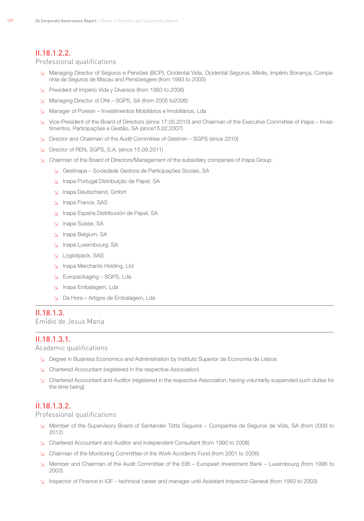#### II.18.1.2.2.

#### Professional qualifications

- ↘ Managing Director of Seguros e Pensões (BCP), Ocidental Vida, Ocidental Seguros, Médis, Império Bonança, Companhia de Seguros de Macau and Pensõesgere (from 1993 to 2005)
- ↘ President of Imperio Vida y Diversos (from 1993 to 2008)
- ↘ Managing Director of ONI SGPS, SA (from 2005 to2006)
- ↘ Manager of Poresin Investimentos Mobiliários e Imobiliários, Lda
- ↘ Vice-President of the Board of Directors (since 17.05.2010) and Chairman of the Executive Committee of Inapa Investimentos, Participações e Gestão, SA (since15.02.2007)
- ↘ Director and Chairman of the Audit Committee of Gestmin SGPS (since 2010)
- ↘ Director of REN, SGPS, S.A. (since 15.09.2011)
- ↘ Chairman of the Board of Directors/Management of the subsidiary companies of Inapa Group:
	- ↘ Gestinapa Sociedade Gestora de Participações Sociais, SA
	- ↘ Inapa Portugal Distribuição de Papel, SA
	- ↘ Inapa Deutschland, GmbH
	- ↘ Inapa France, SAS
	- ↘ Inapa España Distribución de Papel, SA
	- ↘ Inapa Suisse, SA
	- ↘ Inapa Belgium, SA
	- ↘ Inapa Luxembourg, SA
	- ↘ Logistipack, SAS
	- ↘ Inapa Merchants Holding, Ltd
	- ↘ Europackaging SGPS, Lda
	- ↘ Inapa Embalagem, Lda
	- ↘ Da Hora Artigos de Embalagem, Lda

#### II.18.1.3.

Emídio de Jesus Maria

#### II.18.1.3.1.

Academic qualifications

- ↘ Degree in Business Economics and Administration by Instituto Superior de Economia de Lisboa
- ↘ Chartered Accountant (registered in the respective Association)
- ↘ Chartered Accountant and Auditor (registered in the respective Association, having voluntarily suspended such duties for the time being)

#### II.18.1.3.2.

Professional qualifications

- ↘ Member of the Supervisory Board of Santander Totta Seguros Companhia de Seguros de Vida, SA (from 2009 to 2012)
- ↘ Chartered Accountant and Auditor and independent Consultant (from 1990 to 2008)
- ↘ Chairman of the Monitoring Committee of the Work Accidents Fund (from 2001 to 2006)
- ↘ Member and Chairman of the Audit Committee of the EIB European Investment Bank Luxembourg (from 1996 to 2003)
- ↘ Inspector of Finance in IGF technical career and manager until Assistant Inspector-General (from 1980 to 2003)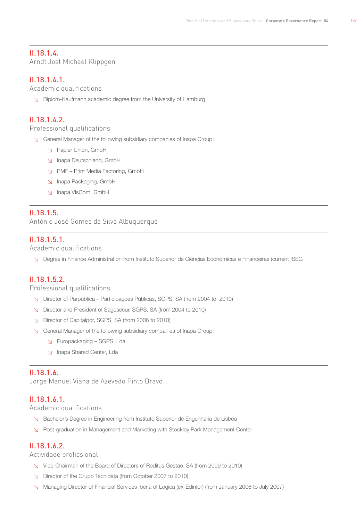100

#### II.18.1.4.

Arndt Jost Michael Klippgen

#### II.18.1.4.1.

Academic qualifications

↘ Diplom-Kaufmann academic degree from the University of Hamburg

#### II.18.1.4.2.

Professional qualifications

↘ General Manager of the following subsidiary companies of Inapa Group:

- ↘ Papier Union, GmbH
- ↘ Inapa Deutschland, GmbH
- ↘ PMF Print Media Factoring, GmbH
- ↘ Inapa Packaging, GmbH
- ↘ Inapa VisCom, GmbH

#### II.18.1.5.

António José Gomes da Silva Albuquerque

#### II.18.1.5.1.

Academic qualifications

↘ Degree in Finance Administration from Instituto Superior de Ciências Económicas e Financeiras (current ISEG

#### II.18.1.5.2.

Professional qualifications

- ↘ Director of Parpública Participações Públicas, SGPS, SA (from 2004 to 2010)
- ↘ Director and President of Sagesecur, SGPS, SA (from 2004 to 2010)
- ↘ Director of Capitalpor, SGPS, SA (from 2008 to 2010)
- ↘ General Manager of the following subsidiary companies of Inapa Group:
	- ↘ Europackaging SGPS, Lda
	- ↘ Inapa Shared Center, Lda

#### II.18.1.6.

Jorge Manuel Viana de Azevedo Pinto Bravo

#### II.18.1.6.1.

Academic qualifications

- ↘ Bachelor's Degree in Engineering from Instituto Superior de Engenharia de Lisboa
- ↘ Post-graduation in Management and Marketing with Stockley Park Management Center

#### II.18.1.6.2.

Actividade profissional

- ↘ Vice-Chairman of the Board of Directors of Reditus Gestão, SA (from 2009 to 2010)
- ↘ Director of the Grupo Tecnidata (from October 2007 to 2010)
- ↘ Managing Director of Financial Services Iberia of Logica (ex-Edinfor) (from January 2006 to July 2007)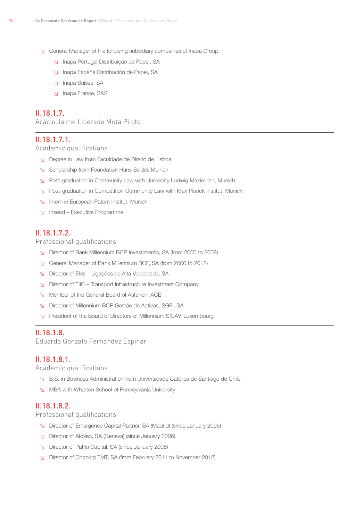- ↘ General Manager of the following subsidiary companies of Inapa Group:
	- ↘ Inapa Portugal Distribuição de Papel, SA
	- ↘ Inapa España Distribución de Papel, SA
	- ↘ Inapa Suisse, SA
	- ↘ Inapa France, SAS

#### II.18.1.7.

Acácio Jaime Liberado Mota Piloto

#### II.18.1.7.1.

Academic qualifications

- ↘ Degree in Law from Faculdade de Direito de Lisboa
- ↘ Scholarship from Foundation Hans Seidel, Munich
- ↘ Post-graduation in Community Law with University Ludwig Maximilian, Munich
- ↘ Post-graduation in Competition Community Law with Max Planck Institut, Munich
- ↘ Intern in European Patent Institut, Munich
- ↘ Insead Executive Programme

#### II.18.1.7.2.

Professional qualifications

- ↘ Director of Bank Millennium BCP Investimento, SA (from 2000 to 2009)
- ↘ General Manager of Bank Millennium BCP, SA (from 2000 to 2012)
- ↘ Director of Elos Ligações de Alta Velocidade, SA
- ↘ Director of TIIC Transport Infrastructure Investment Company
- ↘ Member of the General Board of Asterion, ACE
- ↘ Director of Millennium BCP Gestão de Activos, SGFI, SA
- ↘ President of the Board of Directors of Millennium SICAV, Luxembourg

#### II.18.1.8.

Eduardo Gonzalo Fernandez Espinar

#### II.18.1.8.1.

Academic qualifications

- ↘ B.S. in Business Administration from Universidade Católica de Santiago do Chile
- ↘ MBA with Wharton School of Pennsylvania University

#### II.18.1.8.2.

Professional qualifications

- ↘ Director of Emergence Capital Partner, SA (Madrid) (since January 2006)
- ↘ Director of Akoleo, SA (Geneva) (since January 2006)
- ↘ Director of Patris Capital, SA (since January 2006)
- ↘ Director of Ongoing TMT, SA (from February 2011 to November 2012)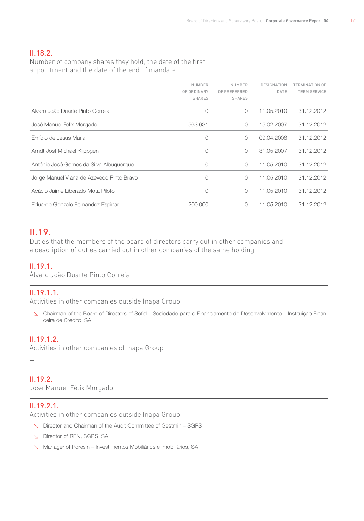#### II.18.2.

Number of company shares they hold, the date of the first appointment and the date of the end of mandate

|                                           | <b>NUMBER</b><br>OF ORDINARY<br><b>SHARES</b> | <b>NUMBER</b><br>OF PREFERRED<br><b>SHARES</b> | DESIGNATION<br>DATE | TERMINATION OF<br><b>TERM SERVICE</b> |
|-------------------------------------------|-----------------------------------------------|------------------------------------------------|---------------------|---------------------------------------|
| Alvaro João Duarte Pinto Correia          | 0                                             | $\Omega$                                       | 11.05.2010          | 31.12.2012                            |
| José Manuel Félix Morgado                 | 563 631                                       | $\bigcirc$                                     | 15.02.2007          | 31.12.2012                            |
| Emídio de Jesus Maria                     | 0                                             | $\bigcirc$                                     | 09.04.2008          | 31.12.2012                            |
| Arndt Jost Michael Klippgen               | 0                                             | 0                                              | 31.05.2007          | 31.12.2012                            |
| António José Gomes da Silva Albuquerque   | 0                                             | 0                                              | 11.05.2010          | 31.12.2012                            |
| Jorge Manuel Viana de Azevedo Pinto Bravo | 0                                             | 0                                              | 11.05.2010          | 31.12.2012                            |
| Acácio Jaime Liberado Mota Piloto         | 0                                             | 0                                              | 11.05.2010          | 31.12.2012                            |
| Eduardo Gonzalo Fernandez Espinar         | 200 000                                       | 0                                              | 11.05.2010          | 31.12.2012                            |

#### II.19.

Duties that the members of the board of directors carry out in other companies and a description of duties carried out in other companies of the same holding

#### II.19.1.

Álvaro João Duarte Pinto Correia

#### II.19.1.1.

Activities in other companies outside Inapa Group

↘ Chairman of the Board of Directors of Sofid – Sociedade para o Financiamento do Desenvolvimento – Instituição Financeira de Crédito, SA

#### II.19.1.2.

Activities in other companies of Inapa Group

#### II.19.2.

—

José Manuel Félix Morgado

#### II.19.2.1.

Activities in other companies outside Inapa Group

- ↘ Director and Chairman of the Audit Committee of Gestmin SGPS
- ↘ Director of REN, SGPS, SA
- ↘ Manager of Poresin Investimentos Mobiliários e Imobiliários, SA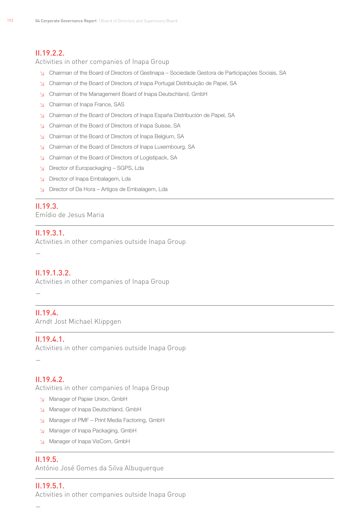#### II.19.2.2.

Activities in other companies of Inapa Group

- ↘ Chairman of the Board of Directors of Gestinapa Sociedade Gestora de Participações Sociais, SA
- ↘ Chairman of the Board of Directors of Inapa Portugal Distribuição de Papel, SA
- ↘ Chairman of the Management Board of Inapa Deutschland, GmbH
- ↘ Chairman of Inapa France, SAS
- ↘ Chairman of the Board of Directors of Inapa España Distribución de Papel, SA
- ↘ Chairman of the Board of Directors of Inapa Suisse, SA
- ↘ Chairman of the Board of Directors of Inapa Belgium, SA
- ↘ Chairman of the Board of Directors of Inapa Luxembourg, SA
- ↘ Chairman of the Board of Directors of Logistipack, SA
- ↘ Director of Europackaging SGPS, Lda
- ↘ Director of Inapa Embalagem, Lda
- ↘ Director of Da Hora Artigos de Embalagem, Lda

#### II.19.3.

Emídio de Jesus Maria

#### II.19.3.1.

Activities in other companies outside Inapa Group

—

#### II.19.1.3.2.

Activities in other companies of Inapa Group

—

#### II.19.4.

Arndt Jost Michael Klippgen

#### II.19.4.1.

Activities in other companies outside Inapa Group

—

#### II.19.4.2.

Activities in other companies of Inapa Group

- ↘ Manager of Papier Union, GmbH
- ↘ Manager of Inapa Deutschland, GmbH
- ↘ Manager of PMF Print Media Factoring, GmbH
- ↘ Manager of Inapa Packaging, GmbH
- ↘ Manager of Inapa VisCom, GmbH

#### II.19.5.

António José Gomes da Silva Albuquerque

## II.19.5.1.

Activities in other companies outside Inapa Group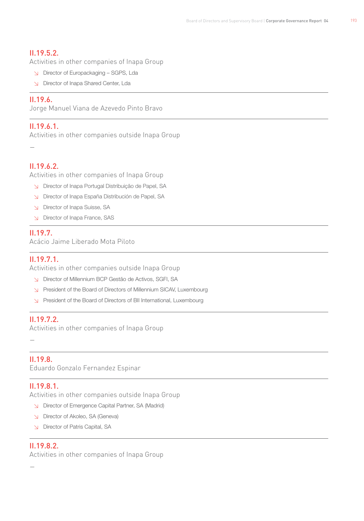193

#### II.19.5.2.

Activities in other companies of Inapa Group

- ↘ Director of Europackaging SGPS, Lda
- ↘ Director of Inapa Shared Center, Lda

#### II.19.6.

Jorge Manuel Viana de Azevedo Pinto Bravo

#### II.19.6.1.

Activities in other companies outside Inapa Group

#### II.19.6.2.

—

Activities in other companies of Inapa Group

- ↘ Director of Inapa Portugal Distribuição de Papel, SA
- ↘ Director of Inapa España Distribución de Papel, SA
- ↘ Director of Inapa Suisse, SA
- ↘ Director of Inapa France, SAS

#### II.19.7.

Acácio Jaime Liberado Mota Piloto

#### II.19.7.1.

Activities in other companies outside Inapa Group

- ↘ Director of Millennium BCP Gestão de Activos, SGFI, SA
- ↘ President of the Board of Directors of Millennium SICAV, Luxembourg
- ↘ President of the Board of Directors of BII International, Luxembourg

#### II.19.7.2.

Activities in other companies of Inapa Group

#### II.19.8.

—

Eduardo Gonzalo Fernandez Espinar

#### II.19.8.1.

Activities in other companies outside Inapa Group

- ↘ Director of Emergence Capital Partner, SA (Madrid)
- ↘ Director of Akoleo, SA (Geneva)
- ↘ Director of Patris Capital, SA

#### II.19.8.2.

Activities in other companies of Inapa Group

—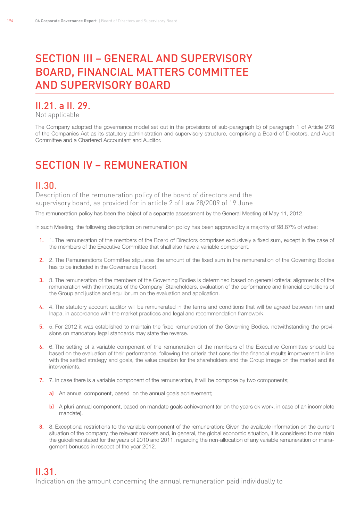# SECTION III – GENERAL AND SUPERVISORY Board, Financial Matters Committee and Supervisory Board

# II.21. a II. 29.

Not applicable

The Company adopted the governance model set out in the provisions of sub-paragraph b) of paragraph 1 of Article 278 of the Companies Act as its statutory administration and supervisory structure, comprising a Board of Directors, and Audit Committee and a Chartered Accountant and Auditor.

# Section IV – Remuneration

# II.30.

Description of the remuneration policy of the board of directors and the supervisory board, as provided for in article 2 of Law 28/2009 of 19 June

The remuneration policy has been the object of a separate assessment by the General Meeting of May 11, 2012.

In such Meeting, the following description on remuneration policy has been approved by a majority of 98.87% of votes:

- 1. 1. The remuneration of the members of the Board of Directors comprises exclusively a fixed sum, except in the case of the members of the Executive Committee that shall also have a variable component.
- 2. 2. The Remunerations Committee stipulates the amount of the fixed sum in the remuneration of the Governing Bodies has to be included in the Governance Report.
- 3. 3. The remuneration of the members of the Governing Bodies is determined based on general criteria: alignments of the remuneration with the interests of the Company' Stakeholders, evaluation of the performance and financial conditions of the Group and justice and equilibrium on the evaluation and application.
- 4. 4. The statutory account auditor will be remunerated in the terms and conditions that will be agreed between him and Inapa, in accordance with the market practices and legal and recommendation framework.
- 5. 5. For 2012 it was established to maintain the fixed remuneration of the Governing Bodies, notwithstanding the provisions on mandatory legal standards may state the reverse.
- 6. 6. The setting of a variable component of the remuneration of the members of the Executive Committee should be based on the evaluation of their performance, following the criteria that consider the financial results improvement in line with the settled strategy and goals, the value creation for the shareholders and the Group image on the market and its intervenients.
- 7. 7. In case there is a variable component of the remuneration, it will be compose by two components;
	- a) An annual component, based on the annual goals achievement;
	- b) A pluri-annual component, based on mandate goals achievement (or on the years ok work, in case of an incomplete mandate).
- 8. 8. Exceptional restrictions to the variable component of the remuneration: Given the available information on the current situation of the company, the relevant markets and, in general, the global economic situation, it is considered to maintain the guidelines stated for the years of 2010 and 2011, regarding the non-allocation of any variable remuneration or management bonuses in respect of the year 2012.

# II.31.

Indication on the amount concerning the annual remuneration paid individually to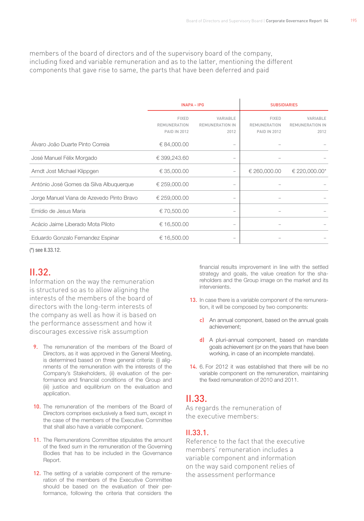members of the board of directors and of the supervisory board of the company, including fixed and variable remuneration and as to the latter, mentioning the different components that gave rise to same, the parts that have been deferred and paid

|                                           | <b>INAPA - IPG</b>                                         |                                            | <b>SUBSIDIARIES</b>                                        |                                            |
|-------------------------------------------|------------------------------------------------------------|--------------------------------------------|------------------------------------------------------------|--------------------------------------------|
|                                           | <b>FIXED</b><br><b>REMUNERATION</b><br><b>PAID IN 2012</b> | VARIABLE<br><b>REMUNERATION IN</b><br>2012 | <b>FIXED</b><br><b>REMUNERATION</b><br><b>PAID IN 2012</b> | VARIABLE<br><b>REMUNERATION IN</b><br>2012 |
| Alvaro João Duarte Pinto Correia          | € 84,000.00                                                |                                            |                                                            |                                            |
| José Manuel Félix Morgado                 | € 399,243.60                                               | $\qquad \qquad =$                          |                                                            |                                            |
| Arndt Jost Michael Klippgen               | € 35,000.00                                                |                                            | € 260,000.00                                               | € 220,000.00*                              |
| António José Gomes da Silva Albuquerque   | € 259,000.00                                               |                                            |                                                            |                                            |
| Jorge Manuel Viana de Azevedo Pinto Bravo | € 259,000.00                                               |                                            |                                                            |                                            |
| Emídio de Jesus Maria                     | € 70,500.00                                                |                                            |                                                            |                                            |
| Acácio Jaime Liberado Mota Piloto         | € 16,500.00                                                |                                            |                                                            |                                            |
| Eduardo Gonzalo Fernandez Espinar         | € 16,500.00                                                |                                            |                                                            |                                            |

(\*) see II.33.12.

## II.32.

Information on the way the remuneration is structured so as to allow aligning the interests of the members of the board of directors with the long-term interests of the company as well as how it is based on the performance assessment and how it discourages excessive risk assumption

- **9.** The remuneration of the members of the Board of Directors, as it was approved in the General Meeting, is determined based on three general criteria: (i) alignments of the remuneration with the interests of the Company's Stakeholders, (ii) evaluation of the performance and financial conditions of the Group and (iii) justice and equilibrium on the evaluation and application.
- 10. The remuneration of the members of the Board of Directors comprises exclusively a fixed sum, except in the case of the members of the Executive Committee that shall also have a variable component.
- 11. The Remunerations Committee stipulates the amount of the fixed sum in the remuneration of the Governing Bodies that has to be included in the Governance Report.
- 12. The setting of a variable component of the remuneration of the members of the Executive Committee should be based on the evaluation of their performance, following the criteria that considers the

financial results improvement in line with the settled strategy and goals, the value creation for the shareholders and the Group image on the market and its intervenients.

- 13. In case there is a variable component of the remuneration, it will be composed by two components:
	- c) An annual component, based on the annual goals achievement;
	- d) A pluri-annual component, based on mandate goals achievement (or on the years that have been working, in case of an incomplete mandate).
- 14. 6. For 2012 it was established that there will be no variable component on the remuneration, maintaining the fixed remuneration of 2010 and 2011.

## II.33.

As regards the remuneration of the executive members:

#### II.33.1.

Reference to the fact that the executive members' remuneration includes a variable component and information on the way said component relies of the assessment performance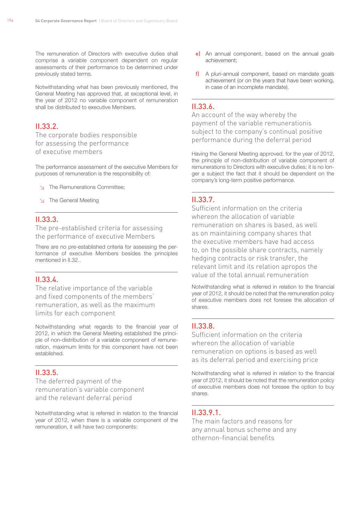The remuneration of Directors with executive duties shall comprise a variable component dependent on regular assessments of their performance to be determined under previously stated terms.

Notwithstanding what has been previously mentioned, the General Meeting has approved that, at exceptional level, in the year of 2012 no variable component of remuneration shall be distributed to executive Members.

#### II.33.2.

The corporate bodies responsible for assessing the performance of executive members

The performance assessment of the executive Members for purposes of remuneration is the responsibility of:

- ↘ The Remunerations Committee;
- ↘ The General Meeting

#### II.33.3.

The pre-established criteria for assessing the performance of executive Members

There are no pre-established criteria for assessing the performance of executive Members besides the principles mentioned in II.32..

#### II.33.4.

The relative importance of the variable and fixed components of the members' remuneration, as well as the maximum limits for each component

Notwithstanding what regards to the financial year of 2012, in which the General Meeting established the principle of non-distribution of a variable component of remuneration, maximum limits for this component have not been established.

#### II.33.5.

The deferred payment of the remuneration's variable component and the relevant deferral period

Notwithstanding what is referred in relation to the financial year of 2012, when there is a variable component of the remuneration, it will have two components:

- e) An annual component, based on the annual goals achievement;
- f) A pluri-annual component, based on mandate goals achievement (or on the years that have been working, in case of an incomplete mandate).

#### II.33.6.

An account of the way whereby the payment of the variable remunerationis subject to the company's continual positive performance during the deferral period

Having the General Meeting approved, for the year of 2012, the principle of non-distribution of variable component of remunerations to Directors with executive duties; it is no longer a subject the fact that it should be dependent on the company's long-term positive performance.

#### II.33.7.

Sufficient information on the criteria whereon the allocation of variable remuneration on shares is based, as well as on maintaining company shares that the executive members have had access to, on the possible share contracts, namely hedging contracts or risk transfer, the relevant limit and its relation apropos the value of the total annual remuneration

Notwithstanding what is referred in relation to the financial year of 2012, it should be noted that the remuneration policy of executive members does not foresee the allocation of shares.

#### II.33.8.

Sufficient information on the criteria whereon the allocation of variable remuneration on options is based as well as its deferral period and exercising price

Notwithstanding what is referred in relation to the financial year of 2012, it should be noted that the remuneration policy of executive members does not foresee the option to buy shares.

#### II.33.9.1.

The main factors and reasons for any annual bonus scheme and any othernon-financial benefits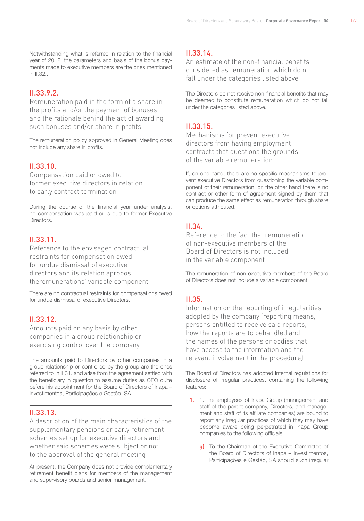Notwithstanding what is referred in relation to the financial year of 2012, the parameters and basis of the bonus payments made to executive members are the ones mentioned in II.32..

#### II.33.9.2.

Remuneration paid in the form of a share in the profits and/or the payment of bonuses and the rationale behind the act of awarding such bonuses and/or share in profits

The remuneration policy approved in General Meeting does not include any share in profits.

#### II.33.10.

Compensation paid or owed to former executive directors in relation to early contract termination

During the course of the financial year under analysis, no compensation was paid or is due to former Executive **Directors** 

#### II.33.11.

Reference to the envisaged contractual restraints for compensation owed for undue dismissal of executive directors and its relation apropos theremunerations' variable component

There are no contractual restraints for compensations owed for undue dismissal of executive Directors.

#### II.33.12.

Amounts paid on any basis by other companies in a group relationship or exercising control over the company

The amounts paid to Directors by other companies in a group relationship or controlled by the group are the ones referred to in II.31. and arise from the agreement settled with the beneficiary in question to assume duties as CEO quite before his appointment for the Board of Directors of Inapa – Investimentos, Participações e Gestão, SA.

#### II.33.13.

A description of the main characteristics of the supplementary pensions or early retirement schemes set up for executive directors and whether said schemes were subject or not to the approval of the general meeting

At present, the Company does not provide complementary retirement benefit plans for members of the management and supervisory boards and senior management.

#### II.33.14.

An estimate of the non-financial benefits considered as remuneration which do not fall under the categories listed above

The Directors do not receive non-financial benefits that may be deemed to constitute remuneration which do not fall under the categories listed above.

#### II.33.15.

Mechanisms for prevent executive directors from having employment contracts that questions the grounds of the variable remuneration

If, on one hand, there are no specific mechanisms to prevent executive Directors from questioning the variable component of their remuneration, on the other hand there is no contract or other form of agreement signed by them that can produce the same effect as remuneration through share or options attributed.

#### II.34.

Reference to the fact that remuneration of non-executive members of the Board of Directors is not included in the variable component

The remuneration of non-executive members of the Board of Directors does not include a variable component.

#### II.35.

Information on the reporting of irregularities adopted by the company (reporting means, persons entitled to receive said reports, how the reports are to behandled and the names of the persons or bodies that have access to the information and the relevant involvement in the procedure)

The Board of Directors has adopted internal regulations for disclosure of irregular practices, containing the following features:

- 1. 1. The employees of Inapa Group (management and staff of the parent company, Directors, and management and staff of its affiliate companies) are bound to report any irregular practices of which they may have become aware being perpetrated in Inapa Group companies to the following officials:
	- **g)** To the Chairman of the Executive Committee of the Board of Directors of Inapa – Investimentos, Participações e Gestão, SA should such irregular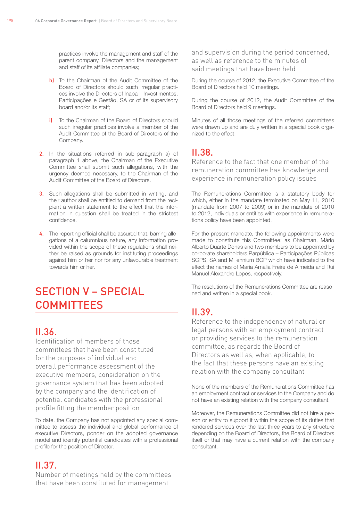practices involve the management and staff of the parent company, Directors and the management and staff of its affiliate companies;

- h) To the Chairman of the Audit Committee of the Board of Directors should such irregular practices involve the Directors of Inapa – Investimentos, Participações e Gestão, SA or of its supervisory board and/or its staff;
- i) To the Chairman of the Board of Directors should such irregular practices involve a member of the Audit Committee of the Board of Directors of the Company.
- 2. In the situations referred in sub-paragraph a) of paragraph 1 above, the Chairman of the Executive Committee shall submit such allegations, with the urgency deemed necessary, to the Chairman of the Audit Committee of the Board of Directors.
- 3. Such allegations shall be submitted in writing, and their author shall be entitled to demand from the recipient a written statement to the effect that the information in question shall be treated in the strictest confidence.
- 4. The reporting official shall be assured that, barring allegations of a calumnious nature, any information provided within the scope of these regulations shall neither be raised as grounds for instituting proceedings against him or her nor for any unfavourable treatment towards him or her.

# Section V – Special **COMMITTEES**

# $II.36$

Identification of members of those committees that have been constituted for the purposes of individual and overall performance assessment of the executive members, consideration on the governance system that has been adopted by the company and the identification of potential candidates with the professional profile fitting the member position

To date, the Company has not appointed any special committee to assess the individual and global performance of executive Directors, ponder on the adopted governance model and identify potential candidates with a professional profile for the position of Director.

# II.37.

Number of meetings held by the committees that have been constituted for management

and supervision during the period concerned, as well as reference to the minutes of said meetings that have been held

During the course of 2012, the Executive Committee of the Board of Directors held 10 meetings.

During the course of 2012, the Audit Committee of the Board of Directors held 9 meetings.

Minutes of all those meetings of the referred committees were drawn up and are duly written in a special book organized to the effect.

# II.38.

Reference to the fact that one member of the remuneration committee has knowledge and experience in remuneration policy issues

The Remunerations Committee is a statutory body for which, either in the mandate terminated on May 11, 2010 (mandate from 2007 to 2009) or in the mandate of 2010 to 2012, individuals or entities with experience in remunerations policy have been appointed.

For the present mandate, the following appointments were made to constitute this Committee: as Chairman, Mário Alberto Duarte Donas and two members to be appointed by corporate shareholders Parpública – Participações Públicas SGPS, SA and Millennium BCP which have indicated to the effect the names of Maria Amália Freire de Almeida and Rui Manuel Alexandre Lopes, respectively.

The resolutions of the Remunerations Committee are reasoned and written in a special book.

# II.39.

Reference to the independency of natural or legal persons with an employment contract or providing services to the remuneration committee, as regards the Board of Directors as well as, when applicable, to the fact that these persons have an existing relation with the company consultant

None of the members of the Remunerations Committee has an employment contract or services to the Company and do not have an existing relation with the company consultant.

Moreover, the Remunerations Committee did not hire a person or entity to support it within the scope of its duties that rendered services over the last three years to any structure depending on the Board of Directors, the Board of Directors itself or that may have a current relation with the company consultant.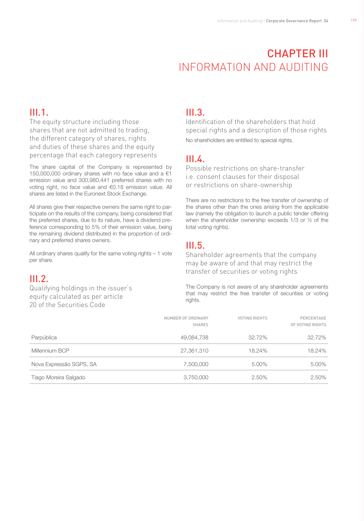# **CHAPTER III** Information and Auditing

# III.1.

The equity structure including those shares that are not admitted to trading, the different category of shares, rights and duties of these shares and the equity percentage that each category represents

The share capital of the Company is represented by 150,000,000 ordinary shares with no face value and a  $€1$ emission value and 300,980,441 preferred shares with no voting right, no face value and €0.18 emission value. All shares are listed in the Euronext Stock Exchange.

All shares give their respective owners the same right to participate on the results of the company, being considered that the preferred shares, due to its nature, have a dividend preference corresponding to 5% of their emission value, being the remaining dividend distributed in the proportion of ordinary and preferred shares owners.

All ordinary shares qualify for the same voting rights – 1 yote per share.

# III.2.

Qualifying holdings in the issuer's equity calculated as per article 20 of the Securities Code

# III.3.

Identification of the shareholders that hold special rights and a description of those rights No shareholders are entitled to special rights.

# $III<sub>4</sub>$

Possible restrictions on share-transfer i.e. consent clauses for their disposal or restrictions on share-ownership

There are no restrictions to the free transfer of ownership of the shares other than the ones arising from the applicable law (namely the obligation to launch a public tender offering when the shareholder ownership exceeds 1/3 or ½ of the total voting rights).

# III.5.

Shareholder agreements that the company may be aware of and that may restrict the transfer of securities or voting rights

The Company is not aware of any shareholder agreements that may restrict the free transfer of securities or voting rights.

|                         | NUMBER OF ORDINARY<br><b>SHARES</b> | <b>VOTING RIGHTS</b> | PERCENTAGE<br>OF VOTING RIGHTS |
|-------------------------|-------------------------------------|----------------------|--------------------------------|
| Parpública              | 49,084,738                          | 32.72%               | 32.72%                         |
| Millennium BCP          | 27,361,310                          | 18.24%               | 18.24%                         |
| Nova Expressão SGPS, SA | 7,500,000                           | 5.00%                | 5.00%                          |
| Tiago Moreira Salgado   | 3,750,000                           | 2.50%                | 2.50%                          |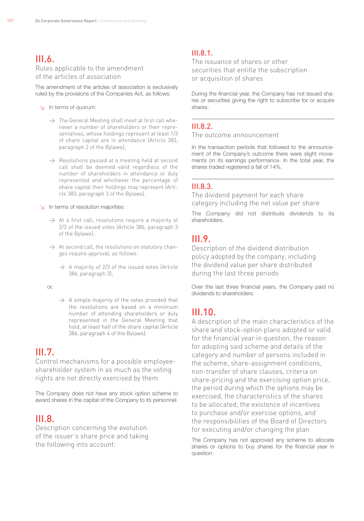#### $III.6.$ Rules applicable to the amendment of the articles of association

The amendment of the articles of association is exclusively ruled by the provisions of the Companies Act, as follows:

- ↘ In terms of quorum:
	- $\rightarrow$  The General Meeting shall meet at first call whenever a number of shareholders or their representatives, whose holdings represent at least 1/3 of share capital are in attendance (Article 383, paragraph 2 of the Bylaws);
	- $\rightarrow$  Resolutions passed at a meeting held at second call shall be deemed valid regardless of the number of shareholders in attendance or duly represented and whichever the percentage of share capital their holdings may represent (Article 383, paragraph 3 of the Bylaws).
- ↘ In terms of resolution majorities:
	- $\rightarrow$  At a first call, resolutions require a majority of 2/3 of the issued votes (Article 386, paragraph 3 of the Bylaws);
	- $\rightarrow$  At second call, the resolutions on statutory changes require approval, as follows:
		- $\rightarrow$  A majority of 2/3 of the issued votes (Article 386, paragraph 3);
	- or,
- $\rightarrow$  A simple majority of the votes provided that the resolutions are based on a minimum number of attending shareholders or duly represented in the General Meeting that hold, at least half of the share capital (Article 386, paragraph 4 of the Bylaws).

# III.7.

Control mechanisms for a possible employeeshareholder system in as much as the voting rights are not directly exercised by them

The Company does not have any stock option scheme to award shares in the capital of the Company to its personnel.

## $III.8.$

Description concerning the evolution of the issuer's share price and taking the following into account:

#### $III.8.1$

The issuance of shares or other securities that entitle the subscription or acquisition of shares

During the financial year, the Company has not issued shares or securities giving the right to subscribe for or acquire shares.

#### III.8.2.

The outcome announcement

In the transaction periods that followed to the announcement of the Company's outcome there were slight movements on its earnings performance. In the total year, the shares traded registered a fall of 14%.

#### $III.8.3.$

The dividend payment for each share category including the net value per share

The Company did not distribute dividends to its shareholders.

### III.9.

Description of the dividend distribution policy adopted by the company, including the dividend value per share distributed during the last three periods

Over the last three financial years, the Company paid no dividends to shareholders.

## III.10.

A description of the main characteristics of the share and stock-option plans adopted or valid for the financial year in question, the reason for adopting said scheme and details of the category and number of persons included in the scheme, share-assignment conditions, non-transfer of share clauses, criteria on share-pricing and the exercising option price, the period during which the options may be exercised, the characteristics of the shares to be allocated, the existence of incentives to purchase and/or exercise options, and the responsibilities of the Board of Directors for executing and/or changing the plan

The Company has not approved any scheme to allocate shares or options to buy shares for the financial year in question.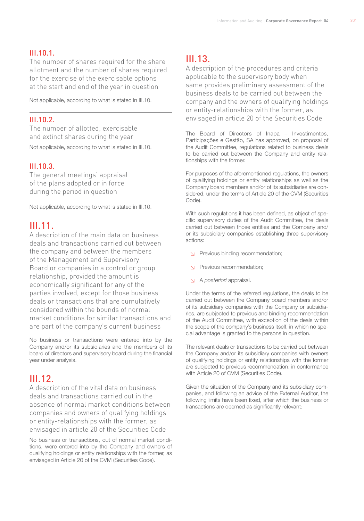#### $III.10.1$

The number of shares required for the share allotment and the number of shares required for the exercise of the exercisable options at the start and end of the year in question

Not applicable, according to what is stated in III.10.

#### III.10.2.

The number of allotted, exercisable and extinct shares during the year Not applicable, according to what is stated in III.10.

#### III.10.3.

The general meetings' appraisal of the plans adopted or in force during the period in question

Not applicable, according to what is stated in III.10.

# III.11.

A description of the main data on business deals and transactions carried out between the company and between the members of the Management and Supervisory Board or companies in a control or group relationship, provided the amount is economically significant for any of the parties involved, except for those business deals or transactions that are cumulatively considered within the bounds of normal market conditions for similar transactions and are part of the company's current business

No business or transactions were entered into by the Company and/or its subsidiaries and the members of its board of directors and supervisory board during the financial year under analysis.

# III.12.

A description of the vital data on business deals and transactions carried out in the absence of normal market conditions between companies and owners of qualifying holdings or entity-relationships with the former, as envisaged in article 20 of the Securities Code

No business or transactions, out of normal market conditions, were entered into by the Company and owners of qualifying holdings or entity relationships with the former, as envisaged in Article 20 of the CVM (Securities Code).

# III.13.

A description of the procedures and criteria applicable to the supervisory body when same provides preliminary assessment of the business deals to be carried out between the company and the owners of qualifying holdings or entity-relationships with the former, as envisaged in article 20 of the Securities Code

The Board of Directors of Inapa – Investimentos, Participações e Gestão, SA has approved, on proposal of the Audit Committee, regulations related to business deals to be carried out between the Company and entity relationships with the former.

For purposes of the aforementioned regulations, the owners of qualifying holdings or entity relationships as well as the Company board members and/or of its subsidiaries are considered, under the terms of Article 20 of the CVM (Securities Code).

With such regulations it has been defined, as object of specific supervisory duties of the Audit Committee, the deals carried out between those entities and the Company and/ or its subsidiary companies establishing three supervisory actions:

- ↘ Previous binding recommendation;
- ↘ Previous recommendation;
- ↘ A *posteriori* appraisal.

Under the terms of the referred regulations, the deals to be carried out between the Company board members and/or of its subsidiary companies with the Company or subsidiaries, are subjected to previous and binding recommendation of the Audit Committee, with exception of the deals within the scope of the company's business itself, in which no special advantage is granted to the persons in question.

The relevant deals or transactions to be carried out between the Company and/or its subsidiary companies with owners of qualifying holdings or entity relationships with the former are subjected to previous recommendation, in conformance with Article 20 of CVM (Securities Code).

Given the situation of the Company and its subsidiary companies, and following an advice of the External Auditor, the following limits have been fixed, after which the business or transactions are deemed as significantly relevant: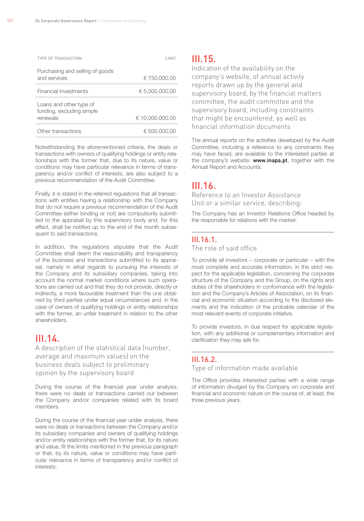$202$ 

| <b>TYPE OF TRANSACTION</b>                                       |                 |
|------------------------------------------------------------------|-----------------|
| Purchasing and selling of goods<br>and services                  | € 750,000.00    |
| Financial investments                                            | € 5,000,000.00  |
| Loans and other type of<br>funding, excluding simple<br>renewals | € 10.000.000.00 |
|                                                                  |                 |
| Other transactions                                               | € 500.000.00    |

Notwithstanding the aforementioned criteria, the deals or transactions with owners of qualifying holdings or entity relationships with the former that, due to its nature, value or conditions may have particular relevance in terms of transparency and/or conflict of interests, are also subject to a previous recommendation of the Audit Committee.

Finally, it is stated in the referred regulations that all transactions with entities having a relationship with the Company that do not require a previous recommendation of the Audit Committee (either binding or not) are compulsorily submitted to the appraisal by this supervisory body and, for this effect, shall be notified up to the end of the month subsequent to said transactions.

In addition, the regulations stipulate that the Audit Committee shall deem the reasonability and transparency of the business and transactions submitted to its appraisal, namely in what regards to pursuing the interests of the Company and its subsidiary companies, taking into account the normal market conditions where such operations are carried out and that they do not provide, directly or indirectly, a more favourable treatment than the one obtained by third parties under equal circumstances and, in the case of owners of qualifying holdings or entity relationships with the former, an unfair treatment in relation to the other shareholders.

# $III.14.$

A description of the statistical data (number, average and maximum values) on the business deals subject to preliminary opinion by the supervisory board

During the course of the financial year under analysis, there were no deals or transactions carried out between the Company and/or companies related with its board members.

During the course of the financial year under analysis, there were no deals or transactions between the Company and/or its subsidiary companies and owners of qualifying holdings and/or entity relationships with the former that, for its nature and value, fit the limits mentioned in the previous paragraph or that, by its nature, value or conditions may have particular relevance in terms of transparency and/or conflict of interests.

#### III.15.

Indication of the availability on the company's website, of annual activity reports drawn up by the general and supervisory board, by the financial matters committee, the audit committee and the supervisory board, including constraints that might be encountered, as well as financial information documents

The annual reports on the activities developed by the Audit Committee, including a reference to any constraints they may have faced, are available to the interested parties at the company's website: **www.inapa.pt**, together with the Annual Report and Accounts.

# $III.16$

Reference to an Investor Assistance Unit or a similar service, describing:

The Company has an Investor Relations Office headed by the responsible for relations with the market.

#### III.16.1.

The role of said office

To provide all investors – corporate or particular – with the most complete and accurate information, in the strict respect for the applicable legislation, concerning the corporate structure of the Company and the Group, on the rights and duties of the shareholders in conformance with the legislation and the Company's Articles of Association, on its financial and economic situation according to the disclosed elements and the indication of the probable calendar of the most relevant events of corporate initiative.

To provide investors, in due respect for applicable legislation, with any additional or complementary information and clarification they may ask for.

#### III.16.2.

Type of information made available

The Office provides interested parties with a wide range of information divulged by the Company on corporate and financial and economic nature on the course of, at least, the three previous years.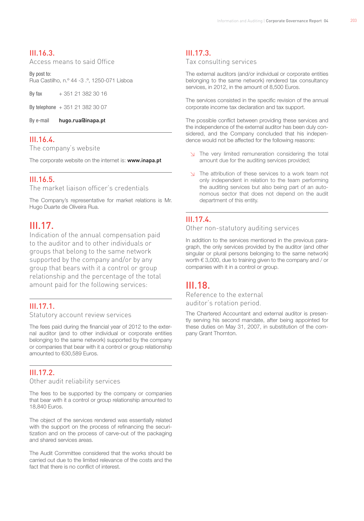#### III.16.3.

Access means to said Office

By post to: Rua Castilho, n.º 44 -3 .º, 1250-071 Lisboa

By fax + 351 21 382 30 16

By telephone + 351 21 382 30 07

By e-mail hugo.rua@inapa.pt

#### III.16.4.

The company's website

The corporate website on the internet is: www.inapa.pt

#### III.16.5.

The market liaison officer's credentials

The Company's representative for market relations is Mr. Hugo Duarte de Oliveira Rua.

#### III.17.

Indication of the annual compensation paid to the auditor and to other individuals or groups that belong to the same network supported by the company and/or by any group that bears with it a control or group relationship and the percentage of the total amount paid for the following services:

#### III.17.1.

#### Statutory account review services

The fees paid during the financial year of 2012 to the external auditor (and to other individual or corporate entities belonging to the same network) supported by the company or companies that bear with it a control or group relationship amounted to 630,589 Euros.

#### III.17.2.

Other audit reliability services

The fees to be supported by the company or companies that bear with it a control or group relationship amounted to 18,840 Euros.

The object of the services rendered was essentially related with the support on the process of refinancing the securitization and on the process of carve-out of the packaging and shared services areas.

The Audit Committee considered that the works should be carried out due to the limited relevance of the costs and the fact that there is no conflict of interest.

#### III.17.3.

Tax consulting services

The external auditors (and/or individual or corporate entities belonging to the same network) rendered tax consultancy services, in 2012, in the amount of 8,500 Euros.

The services consisted in the specific revision of the annual corporate income tax declaration and tax support.

The possible conflict between providing these services and the independence of the external auditor has been duly considered, and the Company concluded that his independence would not be affected for the following reasons:

- ↘ The very limited remuneration considering the total amount due for the auditing services provided;
- ↘ The attribution of these services to a work team not only independent in relation to the team performing the auditing services but also being part of an autonomous sector that does not depend on the audit department of this entity.

#### III.17.4.

#### Other non-statutory auditing services

In addition to the services mentioned in the previous paragraph, the only services provided by the auditor (and other singular or plural persons belonging to the same network) worth € 3,000, due to training given to the company and / or companies with it in a control or group.

## III.18.

Reference to the external auditor's rotation period.

The Chartered Accountant and external auditor is presently serving his second mandate, after being appointed for these duties on May 31, 2007, in substitution of the company Grant Thornton.